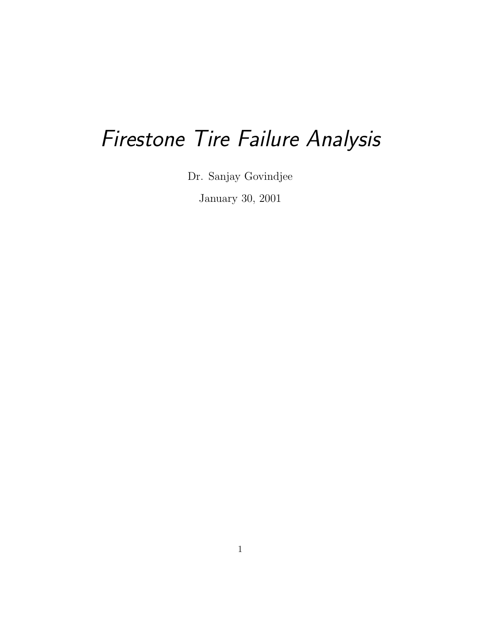# Firestone Tire Failure Analysis

Dr. Sanjay Govindjee

January 30, 2001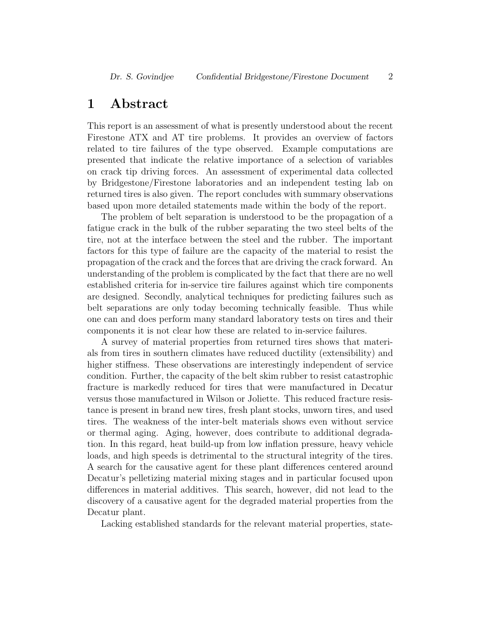## 1 Abstract

This report is an assessment of what is presently understood about the recent Firestone ATX and AT tire problems. It provides an overview of factors related to tire failures of the type observed. Example computations are presented that indicate the relative importance of a selection of variables on crack tip driving forces. An assessment of experimental data collected by Bridgestone/Firestone laboratories and an independent testing lab on returned tires is also given. The report concludes with summary observations based upon more detailed statements made within the body of the report.

The problem of belt separation is understood to be the propagation of a fatigue crack in the bulk of the rubber separating the two steel belts of the tire, not at the interface between the steel and the rubber. The important factors for this type of failure are the capacity of the material to resist the propagation of the crack and the forces that are driving the crack forward. An understanding of the problem is complicated by the fact that there are no well established criteria for in-service tire failures against which tire components are designed. Secondly, analytical techniques for predicting failures such as belt separations are only today becoming technically feasible. Thus while one can and does perform many standard laboratory tests on tires and their components it is not clear how these are related to in-service failures.

A survey of material properties from returned tires shows that materials from tires in southern climates have reduced ductility (extensibility) and higher stiffness. These observations are interestingly independent of service condition. Further, the capacity of the belt skim rubber to resist catastrophic fracture is markedly reduced for tires that were manufactured in Decatur versus those manufactured in Wilson or Joliette. This reduced fracture resistance is present in brand new tires, fresh plant stocks, unworn tires, and used tires. The weakness of the inter-belt materials shows even without service or thermal aging. Aging, however, does contribute to additional degradation. In this regard, heat build-up from low inflation pressure, heavy vehicle loads, and high speeds is detrimental to the structural integrity of the tires. A search for the causative agent for these plant differences centered around Decatur's pelletizing material mixing stages and in particular focused upon differences in material additives. This search, however, did not lead to the discovery of a causative agent for the degraded material properties from the Decatur plant.

Lacking established standards for the relevant material properties, state-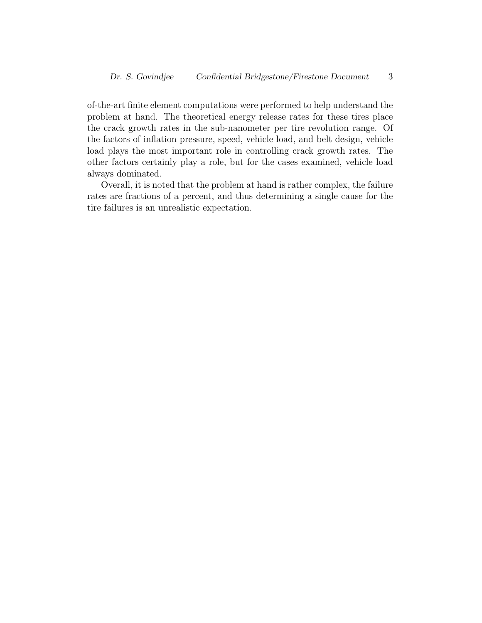of-the-art finite element computations were performed to help understand the problem at hand. The theoretical energy release rates for these tires place the crack growth rates in the sub-nanometer per tire revolution range. Of the factors of inflation pressure, speed, vehicle load, and belt design, vehicle load plays the most important role in controlling crack growth rates. The other factors certainly play a role, but for the cases examined, vehicle load always dominated.

Overall, it is noted that the problem at hand is rather complex, the failure rates are fractions of a percent, and thus determining a single cause for the tire failures is an unrealistic expectation.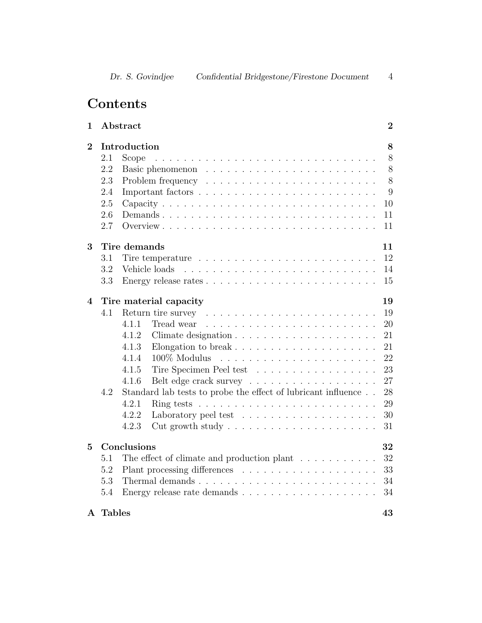## Contents

| 1              |               | Abstract                                                                             | $\boldsymbol{2}$ |
|----------------|---------------|--------------------------------------------------------------------------------------|------------------|
| $\overline{2}$ | 2.1<br>2.2    | Introduction<br>Scope                                                                | 8<br>8<br>$8\,$  |
|                | 2.3           |                                                                                      | 8                |
|                | 2.4           |                                                                                      | 9                |
|                | 2.5           |                                                                                      | 10               |
|                | 2.6           |                                                                                      | 11               |
|                | 2.7           |                                                                                      | 11               |
|                |               |                                                                                      |                  |
| 3              |               | Tire demands                                                                         | 11               |
|                | 3.1           |                                                                                      | 12               |
|                | 3.2           | Vehicle loads                                                                        | 14               |
|                | 3.3           |                                                                                      | 15               |
| 4              |               | Tire material capacity                                                               | 19               |
|                | 4.1           |                                                                                      | 19               |
|                |               | 4.1.1<br>Tread wear                                                                  | 20               |
|                |               | 4.1.2                                                                                | 21               |
|                |               | 4.1.3                                                                                | 21               |
|                |               | 100% Modulus<br>4.1.4                                                                | 22               |
|                |               | 4.1.5<br>Tire Specimen Peel test                                                     | 23               |
|                |               | 4.1.6                                                                                | 27               |
|                | 4.2           | Standard lab tests to probe the effect of lubricant influence                        | 28               |
|                |               | 4.2.1<br>Ring tests $\ldots \ldots \ldots \ldots \ldots \ldots \ldots \ldots \ldots$ | 29               |
|                |               | 4.2.2<br>Laboratory peel test $\ldots \ldots \ldots \ldots \ldots \ldots$            | 30               |
|                |               | 4.2.3<br>Cut growth study $\dots \dots \dots \dots \dots \dots \dots$                | 31               |
| $\overline{5}$ |               | Conclusions                                                                          | 32               |
|                | 5.1           | The effect of climate and production plant $\ldots \ldots \ldots$                    | 32               |
|                | 5.2           |                                                                                      | 33               |
|                | 5.3           |                                                                                      | 34               |
|                | 5.4           |                                                                                      | 34               |
| $\mathbf{A}$   | <b>Tables</b> |                                                                                      | 43               |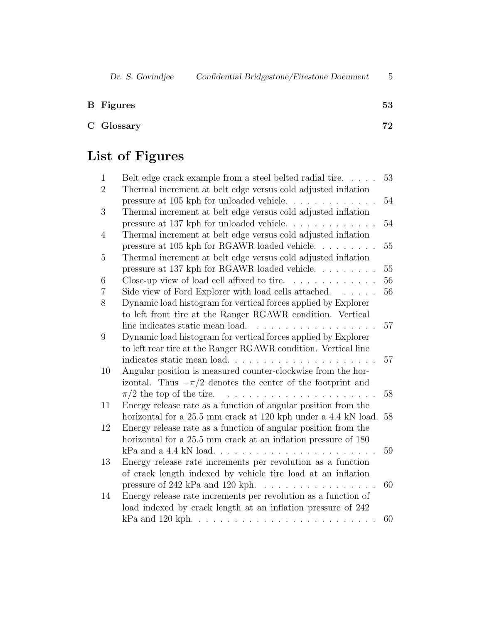| <b>B</b> Figures | 53 |
|------------------|----|
|                  |    |

| 72.        |
|------------|
| C Glossary |

## List of Figures

| $\mathbf{1}$   | Belt edge crack example from a steel belted radial tire                                                                           | 53     |
|----------------|-----------------------------------------------------------------------------------------------------------------------------------|--------|
| $\overline{2}$ | Thermal increment at belt edge versus cold adjusted inflation                                                                     |        |
|                | pressure at 105 kph for unloaded vehicle                                                                                          | 54     |
| 3              | Thermal increment at belt edge versus cold adjusted inflation                                                                     |        |
|                | pressure at 137 kph for unloaded vehicle                                                                                          | $54\,$ |
| $\overline{4}$ | Thermal increment at belt edge versus cold adjusted inflation                                                                     |        |
|                | pressure at 105 kph for RGAWR loaded vehicle.<br>$\mathbf{r}$                                                                     | 55     |
| 5              | Thermal increment at belt edge versus cold adjusted inflation                                                                     |        |
|                | pressure at 137 kph for RGAWR loaded vehicle                                                                                      | 55     |
| 6              | Close-up view of load cell affixed to tire. $\ldots$                                                                              | 56     |
| 7              | Side view of Ford Explorer with load cells attached.                                                                              | 56     |
| 8              | Dynamic load histogram for vertical forces applied by Explorer                                                                    |        |
|                | to left front tire at the Ranger RGAWR condition. Vertical                                                                        |        |
|                | line indicates static mean load.<br>$\sim$ $\sim$ $\sim$                                                                          | 57     |
| 9              | Dynamic load histogram for vertical forces applied by Explorer                                                                    |        |
|                | to left rear tire at the Ranger RGAWR condition. Vertical line                                                                    |        |
|                | indicates static mean load                                                                                                        | 57     |
| 10             | Angular position is measured counter-clockwise from the hor-                                                                      |        |
|                | izontal. Thus $-\pi/2$ denotes the center of the footprint and                                                                    |        |
|                | $\pi/2$ the top of the tire.<br>.                                                                                                 | 58     |
| 11             | Energy release rate as a function of angular position from the                                                                    |        |
|                | horizontal for a 25.5 mm crack at 120 kph under a 4.4 kN load.                                                                    | 58     |
| 12             | Energy release rate as a function of angular position from the                                                                    |        |
|                | horizontal for a 25.5 mm crack at an inflation pressure of 180                                                                    |        |
|                | $kPa$ and a 4.4 kN load                                                                                                           | 59     |
| 13             | Energy release rate increments per revolution as a function                                                                       |        |
|                | of crack length indexed by vehicle tire load at an inflation                                                                      |        |
|                | pressure of 242 kPa and 120 kph.<br>$\mathcal{A}$ , and $\mathcal{A}$ , and $\mathcal{A}$ , and $\mathcal{A}$ , and $\mathcal{A}$ | 60     |
| 14             | Energy release rate increments per revolution as a function of                                                                    |        |
|                | load indexed by crack length at an inflation pressure of 242                                                                      |        |
|                |                                                                                                                                   | 60     |
|                |                                                                                                                                   |        |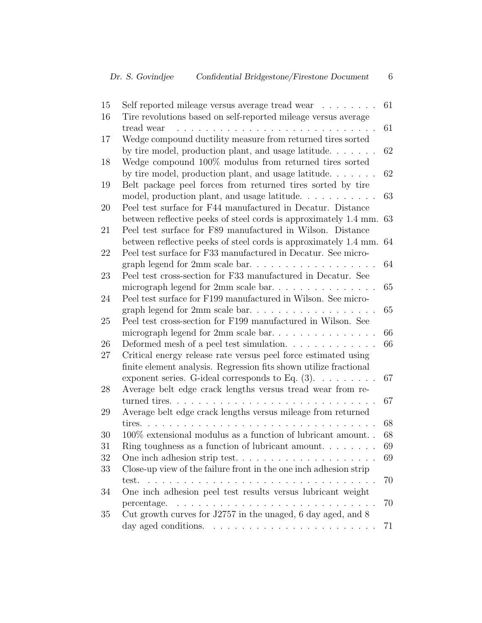| 15 | Self reported mileage versus average tread wear                   | 61 |
|----|-------------------------------------------------------------------|----|
| 16 | Tire revolutions based on self-reported mileage versus average    |    |
|    | tread wear                                                        | 61 |
| 17 | Wedge compound ductility measure from returned tires sorted       |    |
|    | by tire model, production plant, and usage latitude               | 62 |
| 18 | Wedge compound 100% modulus from returned tires sorted            |    |
|    | by tire model, production plant, and usage latitude. $\ldots$     | 62 |
| 19 | Belt package peel forces from returned tires sorted by tire       |    |
|    | model, production plant, and usage latitude                       | 63 |
| 20 | Peel test surface for F44 manufactured in Decatur. Distance       |    |
|    | between reflective peeks of steel cords is approximately 1.4 mm.  | 63 |
| 21 | Peel test surface for F89 manufactured in Wilson. Distance        |    |
|    | between reflective peeks of steel cords is approximately 1.4 mm.  | 64 |
| 22 | Peel test surface for F33 manufactured in Decatur. See micro-     |    |
|    | graph legend for $2mm$ scale bar                                  | 64 |
| 23 | Peel test cross-section for F33 manufactured in Decatur. See      |    |
|    | micrograph legend for 2mm scale bar                               | 65 |
| 24 | Peel test surface for F199 manufactured in Wilson. See micro-     |    |
|    |                                                                   | 65 |
| 25 | Peel test cross-section for F199 manufactured in Wilson. See      |    |
|    | micrograph legend for 2mm scale bar                               | 66 |
| 26 |                                                                   | 66 |
| 27 | Critical energy release rate versus peel force estimated using    |    |
|    | finite element analysis. Regression fits shown utilize fractional |    |
|    | exponent series. G-ideal corresponds to Eq. $(3)$ .               | 67 |
| 28 | Average belt edge crack lengths versus tread wear from re-        |    |
|    | turned tires.                                                     | 67 |
| 29 | Average belt edge crack lengths versus mileage from returned      |    |
|    | tires.                                                            | 68 |
| 30 | $100\%$ extensional modulus as a function of lubricant amount     | 68 |
| 31 | Ring toughness as a function of lubricant amount. $\ldots$        | 69 |
| 32 | One inch adhesion strip test                                      | 69 |
| 33 | Close-up view of the failure front in the one inch adhesion strip |    |
|    | test.                                                             | 70 |
|    |                                                                   |    |
| 34 | One inch adhesion peel test results versus lubricant weight       |    |
|    | percentage.                                                       | 70 |
| 35 | Cut growth curves for J2757 in the unaged, 6 day aged, and 8      |    |
|    |                                                                   | 71 |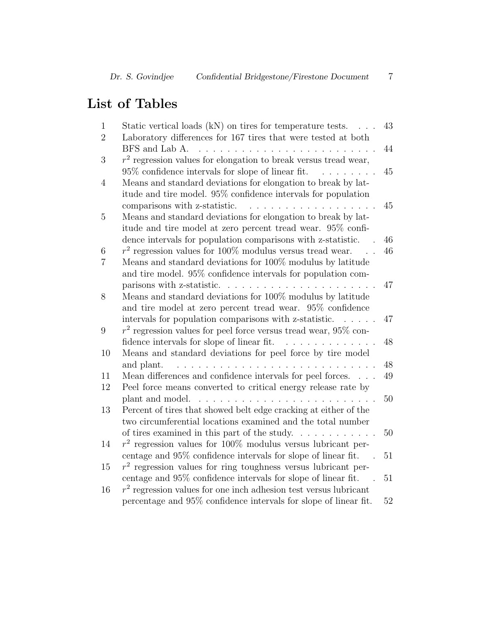## List of Tables

| $\mathbf{1}$     | Static vertical loads $(kN)$ on tires for temperature tests. $\ldots$                                                                           | 43 |
|------------------|-------------------------------------------------------------------------------------------------------------------------------------------------|----|
| $\overline{2}$   | Laboratory differences for 167 tires that were tested at both                                                                                   |    |
|                  | BFS and Lab A.<br>$\mathcal{L}^{\pm}$ , $\mathcal{L}^{\pm}$ , $\mathcal{L}^{\pm}$<br>$\cdots$                                                   | 44 |
| 3                | $r2$ regression values for elongation to break versus tread wear,                                                                               |    |
|                  | $95\%$ confidence intervals for slope of linear fit.<br>$\mathbf{r}$ , $\mathbf{r}$ , $\mathbf{r}$ , $\mathbf{r}$ , $\mathbf{r}$ , $\mathbf{r}$ | 45 |
| 4                | Means and standard deviations for elongation to break by lat-                                                                                   |    |
|                  | itude and tire model. 95% confidence intervals for population                                                                                   |    |
|                  | comparisons with z-statistic.                                                                                                                   | 45 |
| $\overline{5}$   | Means and standard deviations for elongation to break by lat-                                                                                   |    |
|                  | itude and tire model at zero percent tread wear. 95% confi-                                                                                     |    |
|                  | dence intervals for population comparisons with z-statistic.                                                                                    | 46 |
| 6                | $r^2$ regression values for 100% modulus versus tread wear.                                                                                     | 46 |
| 7                | Means and standard deviations for 100% modulus by latitude                                                                                      |    |
|                  | and tire model. 95% confidence intervals for population com-                                                                                    |    |
|                  | parisons with z-statistic.<br>$\mathcal{L}$ , and a set of the set of the set of the set of the $\mathcal{L}$                                   | 47 |
| 8                | Means and standard deviations for 100% modulus by latitude                                                                                      |    |
|                  | and tire model at zero percent tread wear. 95% confidence                                                                                       |    |
|                  | intervals for population comparisons with z-statistic.                                                                                          | 47 |
| $\boldsymbol{9}$ | $r2$ regression values for peel force versus tread wear, 95\% con-                                                                              |    |
|                  | fidence intervals for slope of linear fit.<br>.                                                                                                 | 48 |
| 10               | Means and standard deviations for peel force by tire model                                                                                      |    |
|                  | and plant.<br>a na Ta<br>$\mathbf{r}$                                                                                                           | 48 |
| 11               | Mean differences and confidence intervals for peel forces.                                                                                      | 49 |
| 12               | Peel force means converted to critical energy release rate by                                                                                   |    |
|                  | plant and model.<br>.                                                                                                                           | 50 |
| 13               | Percent of tires that showed belt edge cracking at either of the                                                                                |    |
|                  | two circumferential locations examined and the total number                                                                                     |    |
|                  | of tires examined in this part of the study.<br><u>.</u>                                                                                        | 50 |
| 14               | $r2$ regression values for 100% modulus versus lubricant per-                                                                                   |    |
|                  | centage and 95% confidence intervals for slope of linear fit.                                                                                   | 51 |
| 15               | $r2$ regression values for ring toughness versus lubricant per-                                                                                 |    |
|                  | centage and 95% confidence intervals for slope of linear fit.                                                                                   | 51 |
| $16\,$           | $r2$ regression values for one inch adhesion test versus lubricant                                                                              |    |
|                  | percentage and 95% confidence intervals for slope of linear fit.                                                                                | 52 |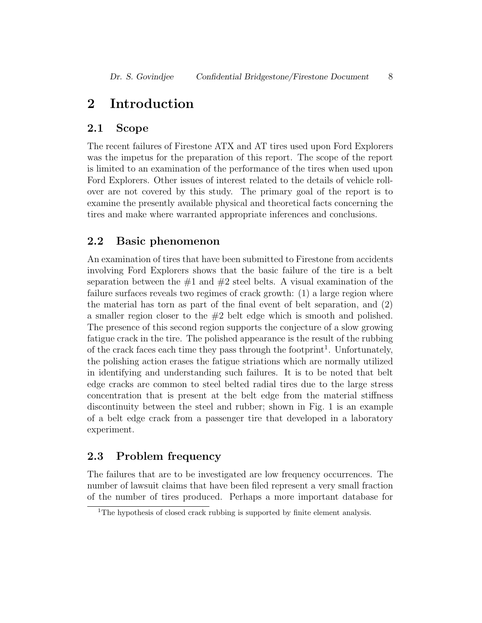## 2 Introduction

#### 2.1 Scope

The recent failures of Firestone ATX and AT tires used upon Ford Explorers was the impetus for the preparation of this report. The scope of the report is limited to an examination of the performance of the tires when used upon Ford Explorers. Other issues of interest related to the details of vehicle rollover are not covered by this study. The primary goal of the report is to examine the presently available physical and theoretical facts concerning the tires and make where warranted appropriate inferences and conclusions.

#### 2.2 Basic phenomenon

An examination of tires that have been submitted to Firestone from accidents involving Ford Explorers shows that the basic failure of the tire is a belt separation between the  $\#1$  and  $\#2$  steel belts. A visual examination of the failure surfaces reveals two regimes of crack growth: (1) a large region where the material has torn as part of the final event of belt separation, and (2) a smaller region closer to the  $#2$  belt edge which is smooth and polished. The presence of this second region supports the conjecture of a slow growing fatigue crack in the tire. The polished appearance is the result of the rubbing of the crack faces each time they pass through the footprint<sup>1</sup>. Unfortunately, the polishing action erases the fatigue striations which are normally utilized in identifying and understanding such failures. It is to be noted that belt edge cracks are common to steel belted radial tires due to the large stress concentration that is present at the belt edge from the material stiffness discontinuity between the steel and rubber; shown in Fig. 1 is an example of a belt edge crack from a passenger tire that developed in a laboratory experiment.

## 2.3 Problem frequency

The failures that are to be investigated are low frequency occurrences. The number of lawsuit claims that have been filed represent a very small fraction of the number of tires produced. Perhaps a more important database for

<sup>&</sup>lt;sup>1</sup>The hypothesis of closed crack rubbing is supported by finite element analysis.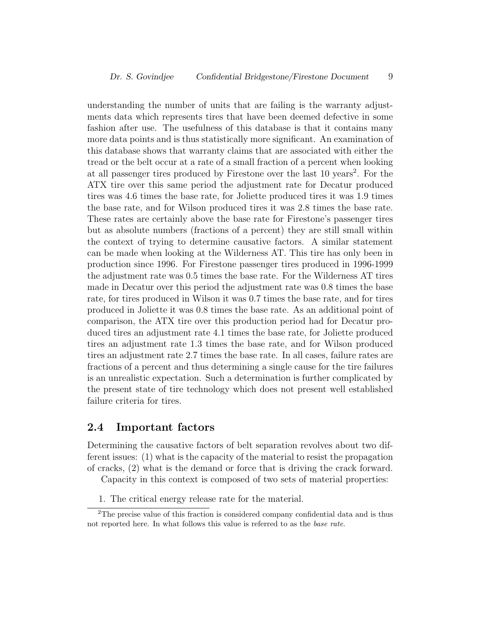understanding the number of units that are failing is the warranty adjustments data which represents tires that have been deemed defective in some fashion after use. The usefulness of this database is that it contains many more data points and is thus statistically more significant. An examination of this database shows that warranty claims that are associated with either the tread or the belt occur at a rate of a small fraction of a percent when looking at all passenger tires produced by Firestone over the last 10 years<sup>2</sup>. For the ATX tire over this same period the adjustment rate for Decatur produced tires was 4.6 times the base rate, for Joliette produced tires it was 1.9 times the base rate, and for Wilson produced tires it was 2.8 times the base rate. These rates are certainly above the base rate for Firestone's passenger tires but as absolute numbers (fractions of a percent) they are still small within the context of trying to determine causative factors. A similar statement can be made when looking at the Wilderness AT. This tire has only been in production since 1996. For Firestone passenger tires produced in 1996-1999 the adjustment rate was 0.5 times the base rate. For the Wilderness AT tires made in Decatur over this period the adjustment rate was 0.8 times the base rate, for tires produced in Wilson it was 0.7 times the base rate, and for tires produced in Joliette it was 0.8 times the base rate. As an additional point of comparison, the ATX tire over this production period had for Decatur produced tires an adjustment rate 4.1 times the base rate, for Joliette produced tires an adjustment rate 1.3 times the base rate, and for Wilson produced tires an adjustment rate 2.7 times the base rate. In all cases, failure rates are fractions of a percent and thus determining a single cause for the tire failures is an unrealistic expectation. Such a determination is further complicated by the present state of tire technology which does not present well established failure criteria for tires.

#### 2.4 Important factors

Determining the causative factors of belt separation revolves about two different issues: (1) what is the capacity of the material to resist the propagation of cracks, (2) what is the demand or force that is driving the crack forward.

Capacity in this context is composed of two sets of material properties:

1. The critical energy release rate for the material.

<sup>2</sup>The precise value of this fraction is considered company confidential data and is thus not reported here. In what follows this value is referred to as the base rate.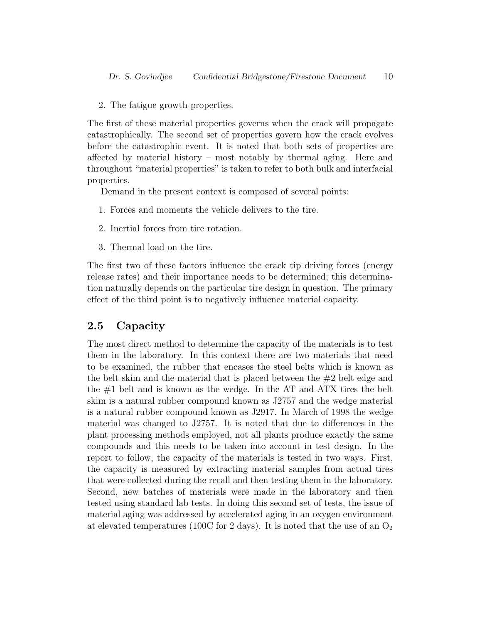2. The fatigue growth properties.

The first of these material properties governs when the crack will propagate catastrophically. The second set of properties govern how the crack evolves before the catastrophic event. It is noted that both sets of properties are affected by material history – most notably by thermal aging. Here and throughout "material properties" is taken to refer to both bulk and interfacial properties.

Demand in the present context is composed of several points:

- 1. Forces and moments the vehicle delivers to the tire.
- 2. Inertial forces from tire rotation.
- 3. Thermal load on the tire.

The first two of these factors influence the crack tip driving forces (energy release rates) and their importance needs to be determined; this determination naturally depends on the particular tire design in question. The primary effect of the third point is to negatively influence material capacity.

#### 2.5 Capacity

The most direct method to determine the capacity of the materials is to test them in the laboratory. In this context there are two materials that need to be examined, the rubber that encases the steel belts which is known as the belt skim and the material that is placed between the #2 belt edge and the #1 belt and is known as the wedge. In the AT and ATX tires the belt skim is a natural rubber compound known as J2757 and the wedge material is a natural rubber compound known as J2917. In March of 1998 the wedge material was changed to J2757. It is noted that due to differences in the plant processing methods employed, not all plants produce exactly the same compounds and this needs to be taken into account in test design. In the report to follow, the capacity of the materials is tested in two ways. First, the capacity is measured by extracting material samples from actual tires that were collected during the recall and then testing them in the laboratory. Second, new batches of materials were made in the laboratory and then tested using standard lab tests. In doing this second set of tests, the issue of material aging was addressed by accelerated aging in an oxygen environment at elevated temperatures (100C for 2 days). It is noted that the use of an  $O_2$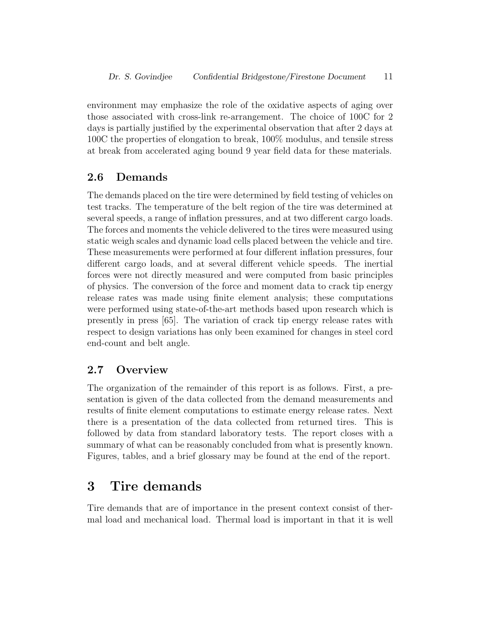environment may emphasize the role of the oxidative aspects of aging over those associated with cross-link re-arrangement. The choice of 100C for 2 days is partially justified by the experimental observation that after 2 days at 100C the properties of elongation to break, 100% modulus, and tensile stress at break from accelerated aging bound 9 year field data for these materials.

#### 2.6 Demands

The demands placed on the tire were determined by field testing of vehicles on test tracks. The temperature of the belt region of the tire was determined at several speeds, a range of inflation pressures, and at two different cargo loads. The forces and moments the vehicle delivered to the tires were measured using static weigh scales and dynamic load cells placed between the vehicle and tire. These measurements were performed at four different inflation pressures, four different cargo loads, and at several different vehicle speeds. The inertial forces were not directly measured and were computed from basic principles of physics. The conversion of the force and moment data to crack tip energy release rates was made using finite element analysis; these computations were performed using state-of-the-art methods based upon research which is presently in press [65]. The variation of crack tip energy release rates with respect to design variations has only been examined for changes in steel cord end-count and belt angle.

## 2.7 Overview

The organization of the remainder of this report is as follows. First, a presentation is given of the data collected from the demand measurements and results of finite element computations to estimate energy release rates. Next there is a presentation of the data collected from returned tires. This is followed by data from standard laboratory tests. The report closes with a summary of what can be reasonably concluded from what is presently known. Figures, tables, and a brief glossary may be found at the end of the report.

## 3 Tire demands

Tire demands that are of importance in the present context consist of thermal load and mechanical load. Thermal load is important in that it is well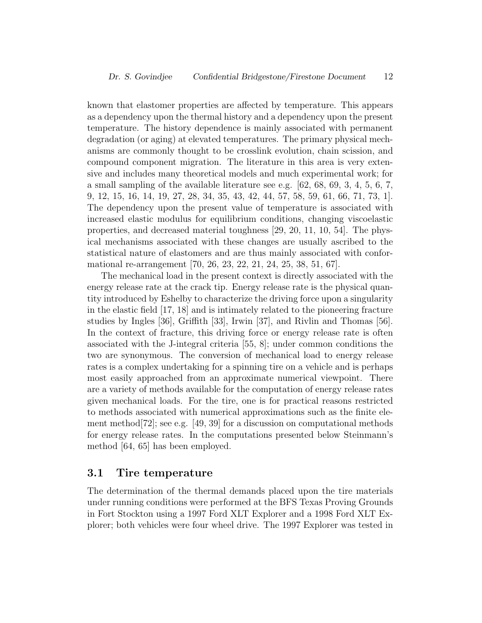known that elastomer properties are affected by temperature. This appears as a dependency upon the thermal history and a dependency upon the present temperature. The history dependence is mainly associated with permanent degradation (or aging) at elevated temperatures. The primary physical mechanisms are commonly thought to be crosslink evolution, chain scission, and compound component migration. The literature in this area is very extensive and includes many theoretical models and much experimental work; for a small sampling of the available literature see e.g.  $[62, 68, 69, 3, 4, 5, 6, 7,$ 9, 12, 15, 16, 14, 19, 27, 28, 34, 35, 43, 42, 44, 57, 58, 59, 61, 66, 71, 73, 1]. The dependency upon the present value of temperature is associated with increased elastic modulus for equilibrium conditions, changing viscoelastic properties, and decreased material toughness [29, 20, 11, 10, 54]. The physical mechanisms associated with these changes are usually ascribed to the statistical nature of elastomers and are thus mainly associated with conformational re-arrangement [70, 26, 23, 22, 21, 24, 25, 38, 51, 67].

The mechanical load in the present context is directly associated with the energy release rate at the crack tip. Energy release rate is the physical quantity introduced by Eshelby to characterize the driving force upon a singularity in the elastic field [17, 18] and is intimately related to the pioneering fracture studies by Ingles [36], Griffith [33], Irwin [37], and Rivlin and Thomas [56]. In the context of fracture, this driving force or energy release rate is often associated with the J-integral criteria [55, 8]; under common conditions the two are synonymous. The conversion of mechanical load to energy release rates is a complex undertaking for a spinning tire on a vehicle and is perhaps most easily approached from an approximate numerical viewpoint. There are a variety of methods available for the computation of energy release rates given mechanical loads. For the tire, one is for practical reasons restricted to methods associated with numerical approximations such as the finite element method[72]; see e.g. [49, 39] for a discussion on computational methods for energy release rates. In the computations presented below Steinmann's method [64, 65] has been employed.

#### 3.1 Tire temperature

The determination of the thermal demands placed upon the tire materials under running conditions were performed at the BFS Texas Proving Grounds in Fort Stockton using a 1997 Ford XLT Explorer and a 1998 Ford XLT Explorer; both vehicles were four wheel drive. The 1997 Explorer was tested in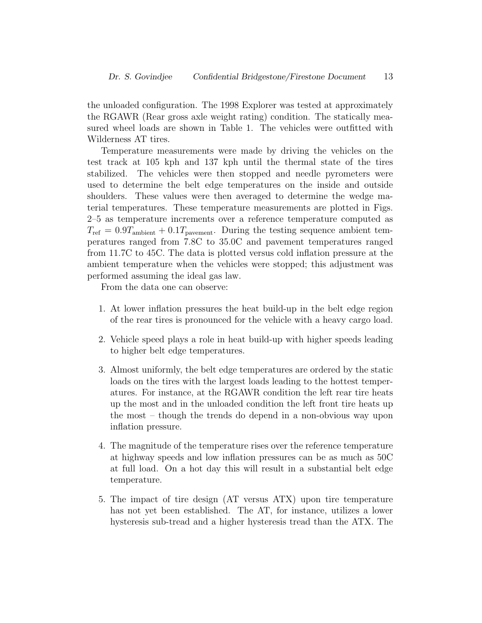the unloaded configuration. The 1998 Explorer was tested at approximately the RGAWR (Rear gross axle weight rating) condition. The statically measured wheel loads are shown in Table 1. The vehicles were outfitted with Wilderness AT tires.

Temperature measurements were made by driving the vehicles on the test track at 105 kph and 137 kph until the thermal state of the tires stabilized. The vehicles were then stopped and needle pyrometers were used to determine the belt edge temperatures on the inside and outside shoulders. These values were then averaged to determine the wedge material temperatures. These temperature measurements are plotted in Figs. 2–5 as temperature increments over a reference temperature computed as  $T_{\text{ref}} = 0.9T_{\text{ambient}} + 0.1T_{\text{parent}}$ . During the testing sequence ambient temperatures ranged from 7.8C to 35.0C and pavement temperatures ranged from 11.7C to 45C. The data is plotted versus cold inflation pressure at the ambient temperature when the vehicles were stopped; this adjustment was performed assuming the ideal gas law.

From the data one can observe:

- 1. At lower inflation pressures the heat build-up in the belt edge region of the rear tires is pronounced for the vehicle with a heavy cargo load.
- 2. Vehicle speed plays a role in heat build-up with higher speeds leading to higher belt edge temperatures.
- 3. Almost uniformly, the belt edge temperatures are ordered by the static loads on the tires with the largest loads leading to the hottest temperatures. For instance, at the RGAWR condition the left rear tire heats up the most and in the unloaded condition the left front tire heats up the most – though the trends do depend in a non-obvious way upon inflation pressure.
- 4. The magnitude of the temperature rises over the reference temperature at highway speeds and low inflation pressures can be as much as 50C at full load. On a hot day this will result in a substantial belt edge temperature.
- 5. The impact of tire design (AT versus ATX) upon tire temperature has not yet been established. The AT, for instance, utilizes a lower hysteresis sub-tread and a higher hysteresis tread than the ATX. The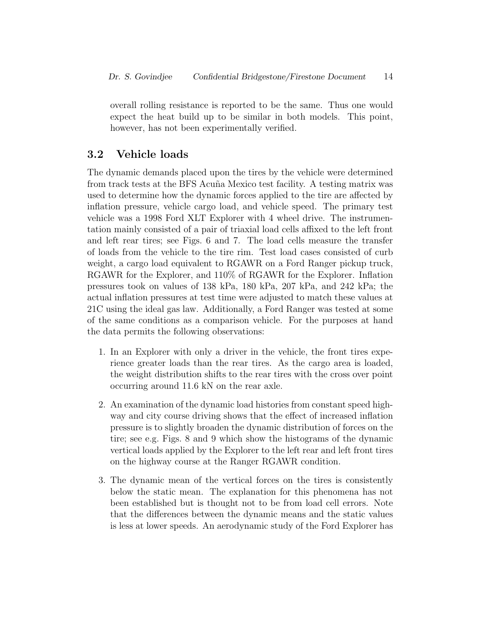overall rolling resistance is reported to be the same. Thus one would expect the heat build up to be similar in both models. This point, however, has not been experimentally verified.

#### 3.2 Vehicle loads

The dynamic demands placed upon the tires by the vehicle were determined from track tests at the BFS Acuña Mexico test facility. A testing matrix was used to determine how the dynamic forces applied to the tire are affected by inflation pressure, vehicle cargo load, and vehicle speed. The primary test vehicle was a 1998 Ford XLT Explorer with 4 wheel drive. The instrumentation mainly consisted of a pair of triaxial load cells affixed to the left front and left rear tires; see Figs. 6 and 7. The load cells measure the transfer of loads from the vehicle to the tire rim. Test load cases consisted of curb weight, a cargo load equivalent to RGAWR on a Ford Ranger pickup truck, RGAWR for the Explorer, and 110% of RGAWR for the Explorer. Inflation pressures took on values of 138 kPa, 180 kPa, 207 kPa, and 242 kPa; the actual inflation pressures at test time were adjusted to match these values at 21C using the ideal gas law. Additionally, a Ford Ranger was tested at some of the same conditions as a comparison vehicle. For the purposes at hand the data permits the following observations:

- 1. In an Explorer with only a driver in the vehicle, the front tires experience greater loads than the rear tires. As the cargo area is loaded, the weight distribution shifts to the rear tires with the cross over point occurring around 11.6 kN on the rear axle.
- 2. An examination of the dynamic load histories from constant speed highway and city course driving shows that the effect of increased inflation pressure is to slightly broaden the dynamic distribution of forces on the tire; see e.g. Figs. 8 and 9 which show the histograms of the dynamic vertical loads applied by the Explorer to the left rear and left front tires on the highway course at the Ranger RGAWR condition.
- 3. The dynamic mean of the vertical forces on the tires is consistently below the static mean. The explanation for this phenomena has not been established but is thought not to be from load cell errors. Note that the differences between the dynamic means and the static values is less at lower speeds. An aerodynamic study of the Ford Explorer has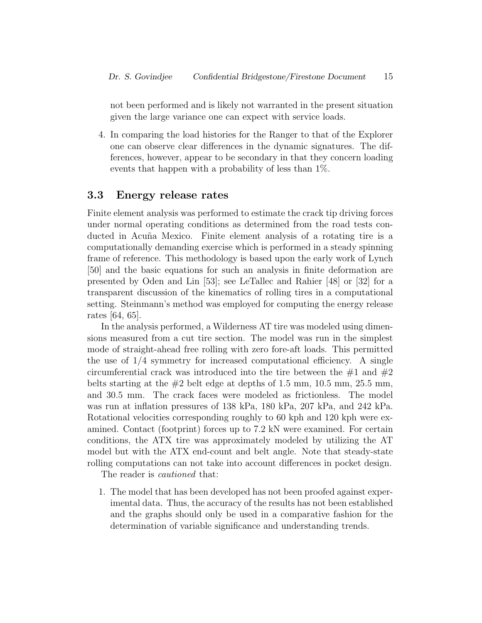not been performed and is likely not warranted in the present situation given the large variance one can expect with service loads.

4. In comparing the load histories for the Ranger to that of the Explorer one can observe clear differences in the dynamic signatures. The differences, however, appear to be secondary in that they concern loading events that happen with a probability of less than 1%.

#### 3.3 Energy release rates

Finite element analysis was performed to estimate the crack tip driving forces under normal operating conditions as determined from the road tests conducted in Acuña Mexico. Finite element analysis of a rotating tire is a computationally demanding exercise which is performed in a steady spinning frame of reference. This methodology is based upon the early work of Lynch [50] and the basic equations for such an analysis in finite deformation are presented by Oden and Lin [53]; see LeTallec and Rahier [48] or [32] for a transparent discussion of the kinematics of rolling tires in a computational setting. Steinmann's method was employed for computing the energy release rates [64, 65].

In the analysis performed, a Wilderness AT tire was modeled using dimensions measured from a cut tire section. The model was run in the simplest mode of straight-ahead free rolling with zero fore-aft loads. This permitted the use of  $1/4$  symmetry for increased computational efficiency. A single circumferential crack was introduced into the tire between the  $#1$  and  $#2$ belts starting at the  $#2$  belt edge at depths of 1.5 mm, 10.5 mm, 25.5 mm, and 30.5 mm. The crack faces were modeled as frictionless. The model was run at inflation pressures of 138 kPa, 180 kPa, 207 kPa, and 242 kPa. Rotational velocities corresponding roughly to 60 kph and 120 kph were examined. Contact (footprint) forces up to 7.2 kN were examined. For certain conditions, the ATX tire was approximately modeled by utilizing the AT model but with the ATX end-count and belt angle. Note that steady-state rolling computations can not take into account differences in pocket design.

The reader is *cautioned* that:

1. The model that has been developed has not been proofed against experimental data. Thus, the accuracy of the results has not been established and the graphs should only be used in a comparative fashion for the determination of variable significance and understanding trends.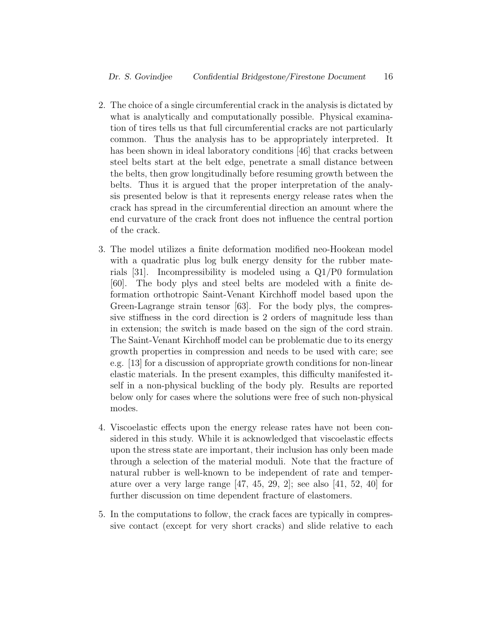- 2. The choice of a single circumferential crack in the analysis is dictated by what is analytically and computationally possible. Physical examination of tires tells us that full circumferential cracks are not particularly common. Thus the analysis has to be appropriately interpreted. It has been shown in ideal laboratory conditions [46] that cracks between steel belts start at the belt edge, penetrate a small distance between the belts, then grow longitudinally before resuming growth between the belts. Thus it is argued that the proper interpretation of the analysis presented below is that it represents energy release rates when the crack has spread in the circumferential direction an amount where the end curvature of the crack front does not influence the central portion of the crack.
- 3. The model utilizes a finite deformation modified neo-Hookean model with a quadratic plus log bulk energy density for the rubber materials [31]. Incompressibility is modeled using a Q1/P0 formulation [60]. The body plys and steel belts are modeled with a finite deformation orthotropic Saint-Venant Kirchhoff model based upon the Green-Lagrange strain tensor [63]. For the body plys, the compressive stiffness in the cord direction is 2 orders of magnitude less than in extension; the switch is made based on the sign of the cord strain. The Saint-Venant Kirchhoff model can be problematic due to its energy growth properties in compression and needs to be used with care; see e.g. [13] for a discussion of appropriate growth conditions for non-linear elastic materials. In the present examples, this difficulty manifested itself in a non-physical buckling of the body ply. Results are reported below only for cases where the solutions were free of such non-physical modes.
- 4. Viscoelastic effects upon the energy release rates have not been considered in this study. While it is acknowledged that viscoelastic effects upon the stress state are important, their inclusion has only been made through a selection of the material moduli. Note that the fracture of natural rubber is well-known to be independent of rate and temperature over a very large range  $[47, 45, 29, 2]$ ; see also  $[41, 52, 40]$  for further discussion on time dependent fracture of elastomers.
- 5. In the computations to follow, the crack faces are typically in compressive contact (except for very short cracks) and slide relative to each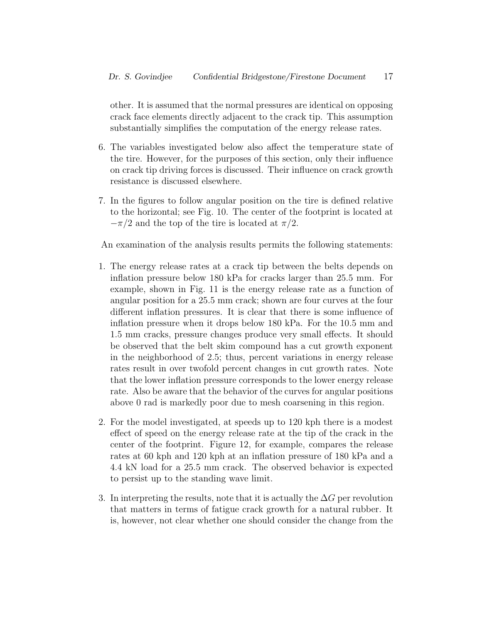other. It is assumed that the normal pressures are identical on opposing crack face elements directly adjacent to the crack tip. This assumption substantially simplifies the computation of the energy release rates.

- 6. The variables investigated below also affect the temperature state of the tire. However, for the purposes of this section, only their influence on crack tip driving forces is discussed. Their influence on crack growth resistance is discussed elsewhere.
- 7. In the figures to follow angular position on the tire is defined relative to the horizontal; see Fig. 10. The center of the footprint is located at  $-\pi/2$  and the top of the tire is located at  $\pi/2$ .

An examination of the analysis results permits the following statements:

- 1. The energy release rates at a crack tip between the belts depends on inflation pressure below 180 kPa for cracks larger than 25.5 mm. For example, shown in Fig. 11 is the energy release rate as a function of angular position for a 25.5 mm crack; shown are four curves at the four different inflation pressures. It is clear that there is some influence of inflation pressure when it drops below 180 kPa. For the 10.5 mm and 1.5 mm cracks, pressure changes produce very small effects. It should be observed that the belt skim compound has a cut growth exponent in the neighborhood of 2.5; thus, percent variations in energy release rates result in over twofold percent changes in cut growth rates. Note that the lower inflation pressure corresponds to the lower energy release rate. Also be aware that the behavior of the curves for angular positions above 0 rad is markedly poor due to mesh coarsening in this region.
- 2. For the model investigated, at speeds up to 120 kph there is a modest effect of speed on the energy release rate at the tip of the crack in the center of the footprint. Figure 12, for example, compares the release rates at 60 kph and 120 kph at an inflation pressure of 180 kPa and a 4.4 kN load for a 25.5 mm crack. The observed behavior is expected to persist up to the standing wave limit.
- 3. In interpreting the results, note that it is actually the  $\Delta G$  per revolution that matters in terms of fatigue crack growth for a natural rubber. It is, however, not clear whether one should consider the change from the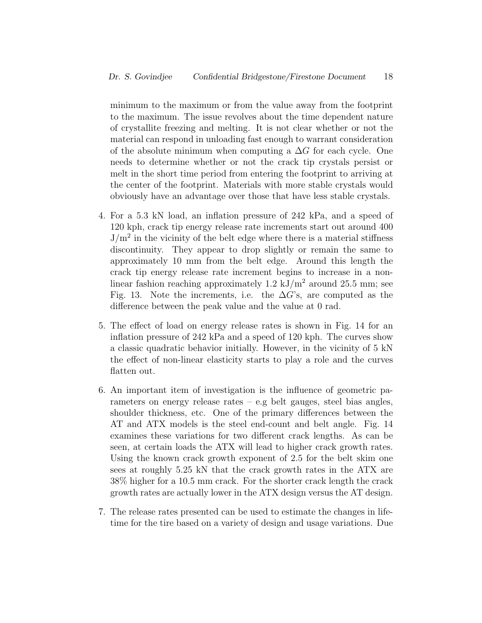minimum to the maximum or from the value away from the footprint to the maximum. The issue revolves about the time dependent nature of crystallite freezing and melting. It is not clear whether or not the material can respond in unloading fast enough to warrant consideration of the absolute minimum when computing a  $\Delta G$  for each cycle. One needs to determine whether or not the crack tip crystals persist or melt in the short time period from entering the footprint to arriving at the center of the footprint. Materials with more stable crystals would obviously have an advantage over those that have less stable crystals.

- 4. For a 5.3 kN load, an inflation pressure of 242 kPa, and a speed of 120 kph, crack tip energy release rate increments start out around 400  $J/m<sup>2</sup>$  in the vicinity of the belt edge where there is a material stiffness discontinuity. They appear to drop slightly or remain the same to approximately 10 mm from the belt edge. Around this length the crack tip energy release rate increment begins to increase in a nonlinear fashion reaching approximately 1.2 kJ/m<sup>2</sup> around 25.5 mm; see Fig. 13. Note the increments, i.e. the  $\Delta G$ 's, are computed as the difference between the peak value and the value at 0 rad.
- 5. The effect of load on energy release rates is shown in Fig. 14 for an inflation pressure of 242 kPa and a speed of 120 kph. The curves show a classic quadratic behavior initially. However, in the vicinity of 5 kN the effect of non-linear elasticity starts to play a role and the curves flatten out.
- 6. An important item of investigation is the influence of geometric parameters on energy release rates – e.g belt gauges, steel bias angles, shoulder thickness, etc. One of the primary differences between the AT and ATX models is the steel end-count and belt angle. Fig. 14 examines these variations for two different crack lengths. As can be seen, at certain loads the ATX will lead to higher crack growth rates. Using the known crack growth exponent of 2.5 for the belt skim one sees at roughly 5.25 kN that the crack growth rates in the ATX are 38% higher for a 10.5 mm crack. For the shorter crack length the crack growth rates are actually lower in the ATX design versus the AT design.
- 7. The release rates presented can be used to estimate the changes in lifetime for the tire based on a variety of design and usage variations. Due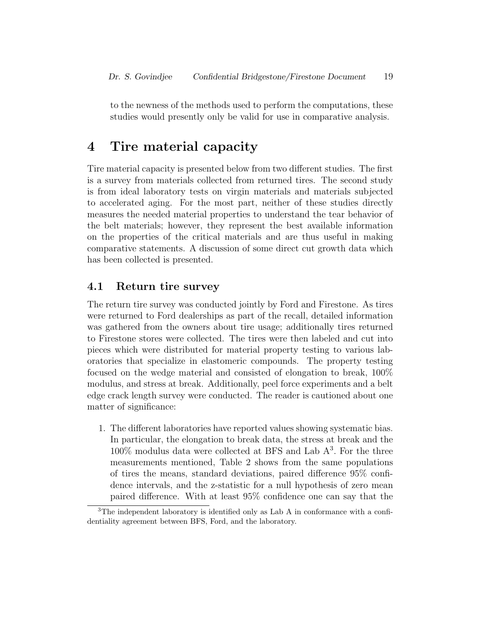to the newness of the methods used to perform the computations, these studies would presently only be valid for use in comparative analysis.

## 4 Tire material capacity

Tire material capacity is presented below from two different studies. The first is a survey from materials collected from returned tires. The second study is from ideal laboratory tests on virgin materials and materials subjected to accelerated aging. For the most part, neither of these studies directly measures the needed material properties to understand the tear behavior of the belt materials; however, they represent the best available information on the properties of the critical materials and are thus useful in making comparative statements. A discussion of some direct cut growth data which has been collected is presented.

#### 4.1 Return tire survey

The return tire survey was conducted jointly by Ford and Firestone. As tires were returned to Ford dealerships as part of the recall, detailed information was gathered from the owners about tire usage; additionally tires returned to Firestone stores were collected. The tires were then labeled and cut into pieces which were distributed for material property testing to various laboratories that specialize in elastomeric compounds. The property testing focused on the wedge material and consisted of elongation to break, 100% modulus, and stress at break. Additionally, peel force experiments and a belt edge crack length survey were conducted. The reader is cautioned about one matter of significance:

1. The different laboratories have reported values showing systematic bias. In particular, the elongation to break data, the stress at break and the  $100\%$  modulus data were collected at BFS and Lab  $A<sup>3</sup>$ . For the three measurements mentioned, Table 2 shows from the same populations of tires the means, standard deviations, paired difference 95% confidence intervals, and the z-statistic for a null hypothesis of zero mean paired difference. With at least 95% confidence one can say that the

<sup>&</sup>lt;sup>3</sup>The independent laboratory is identified only as Lab A in conformance with a confidentiality agreement between BFS, Ford, and the laboratory.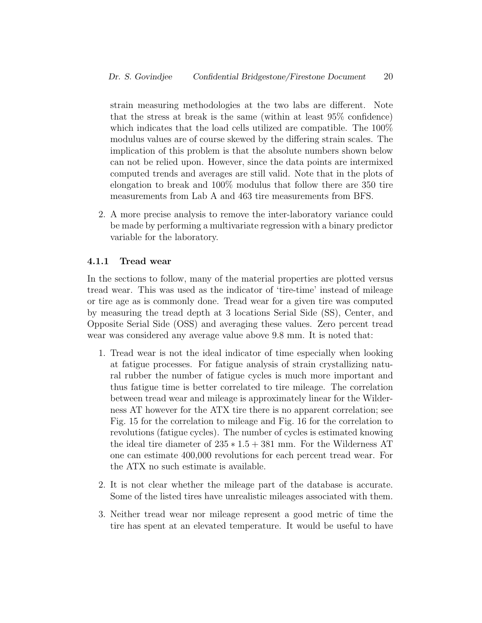strain measuring methodologies at the two labs are different. Note that the stress at break is the same (within at least 95% confidence) which indicates that the load cells utilized are compatible. The 100% modulus values are of course skewed by the differing strain scales. The implication of this problem is that the absolute numbers shown below can not be relied upon. However, since the data points are intermixed computed trends and averages are still valid. Note that in the plots of elongation to break and 100% modulus that follow there are 350 tire measurements from Lab A and 463 tire measurements from BFS.

2. A more precise analysis to remove the inter-laboratory variance could be made by performing a multivariate regression with a binary predictor variable for the laboratory.

#### 4.1.1 Tread wear

In the sections to follow, many of the material properties are plotted versus tread wear. This was used as the indicator of 'tire-time' instead of mileage or tire age as is commonly done. Tread wear for a given tire was computed by measuring the tread depth at 3 locations Serial Side (SS), Center, and Opposite Serial Side (OSS) and averaging these values. Zero percent tread wear was considered any average value above 9.8 mm. It is noted that:

- 1. Tread wear is not the ideal indicator of time especially when looking at fatigue processes. For fatigue analysis of strain crystallizing natural rubber the number of fatigue cycles is much more important and thus fatigue time is better correlated to tire mileage. The correlation between tread wear and mileage is approximately linear for the Wilderness AT however for the ATX tire there is no apparent correlation; see Fig. 15 for the correlation to mileage and Fig. 16 for the correlation to revolutions (fatigue cycles). The number of cycles is estimated knowing the ideal tire diameter of  $235 * 1.5 + 381$  mm. For the Wilderness AT one can estimate 400,000 revolutions for each percent tread wear. For the ATX no such estimate is available.
- 2. It is not clear whether the mileage part of the database is accurate. Some of the listed tires have unrealistic mileages associated with them.
- 3. Neither tread wear nor mileage represent a good metric of time the tire has spent at an elevated temperature. It would be useful to have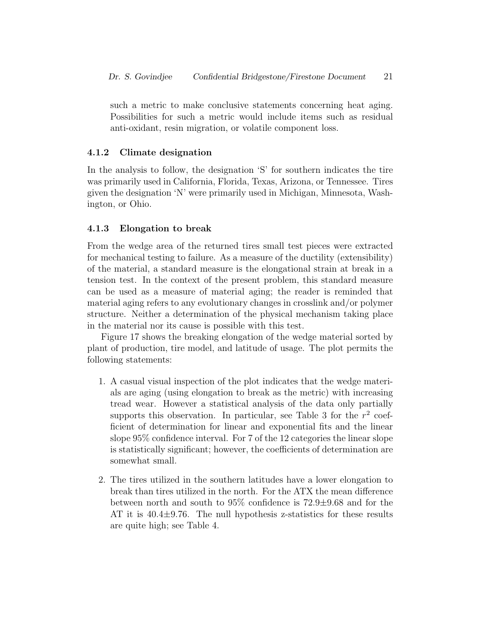such a metric to make conclusive statements concerning heat aging. Possibilities for such a metric would include items such as residual anti-oxidant, resin migration, or volatile component loss.

#### 4.1.2 Climate designation

In the analysis to follow, the designation 'S' for southern indicates the tire was primarily used in California, Florida, Texas, Arizona, or Tennessee. Tires given the designation 'N' were primarily used in Michigan, Minnesota, Washington, or Ohio.

#### 4.1.3 Elongation to break

From the wedge area of the returned tires small test pieces were extracted for mechanical testing to failure. As a measure of the ductility (extensibility) of the material, a standard measure is the elongational strain at break in a tension test. In the context of the present problem, this standard measure can be used as a measure of material aging; the reader is reminded that material aging refers to any evolutionary changes in crosslink and/or polymer structure. Neither a determination of the physical mechanism taking place in the material nor its cause is possible with this test.

Figure 17 shows the breaking elongation of the wedge material sorted by plant of production, tire model, and latitude of usage. The plot permits the following statements:

- 1. A casual visual inspection of the plot indicates that the wedge materials are aging (using elongation to break as the metric) with increasing tread wear. However a statistical analysis of the data only partially supports this observation. In particular, see Table 3 for the  $r^2$  coefficient of determination for linear and exponential fits and the linear slope 95% confidence interval. For 7 of the 12 categories the linear slope is statistically significant; however, the coefficients of determination are somewhat small.
- 2. The tires utilized in the southern latitudes have a lower elongation to break than tires utilized in the north. For the ATX the mean difference between north and south to 95% confidence is 72.9±9.68 and for the AT it is 40.4±9.76. The null hypothesis z-statistics for these results are quite high; see Table 4.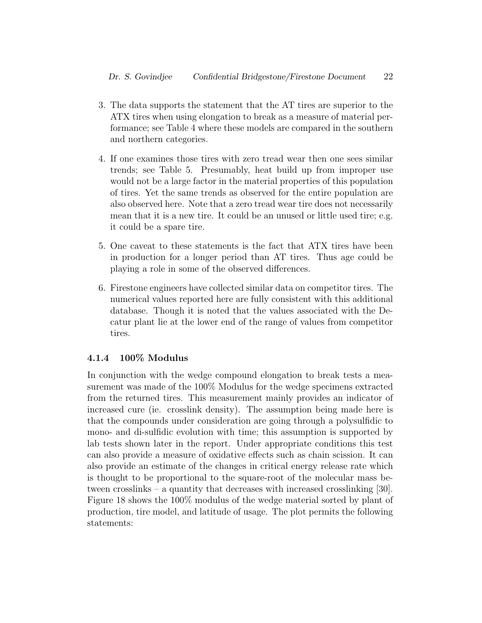- 3. The data supports the statement that the AT tires are superior to the ATX tires when using elongation to break as a measure of material performance; see Table 4 where these models are compared in the southern and northern categories.
- 4. If one examines those tires with zero tread wear then one sees similar trends; see Table 5. Presumably, heat build up from improper use would not be a large factor in the material properties of this population of tires. Yet the same trends as observed for the entire population are also observed here. Note that a zero tread wear tire does not necessarily mean that it is a new tire. It could be an unused or little used tire; e.g. it could be a spare tire.
- 5. One caveat to these statements is the fact that ATX tires have been in production for a longer period than AT tires. Thus age could be playing a role in some of the observed differences.
- 6. Firestone engineers have collected similar data on competitor tires. The numerical values reported here are fully consistent with this additional database. Though it is noted that the values associated with the Decatur plant lie at the lower end of the range of values from competitor tires.

#### 4.1.4 100% Modulus

In conjunction with the wedge compound elongation to break tests a measurement was made of the 100% Modulus for the wedge specimens extracted from the returned tires. This measurement mainly provides an indicator of increased cure (ie. crosslink density). The assumption being made here is that the compounds under consideration are going through a polysulfidic to mono- and di-sulfidic evolution with time; this assumption is supported by lab tests shown later in the report. Under appropriate conditions this test can also provide a measure of oxidative effects such as chain scission. It can also provide an estimate of the changes in critical energy release rate which is thought to be proportional to the square-root of the molecular mass between crosslinks – a quantity that decreases with increased crosslinking [30]. Figure 18 shows the 100% modulus of the wedge material sorted by plant of production, tire model, and latitude of usage. The plot permits the following statements: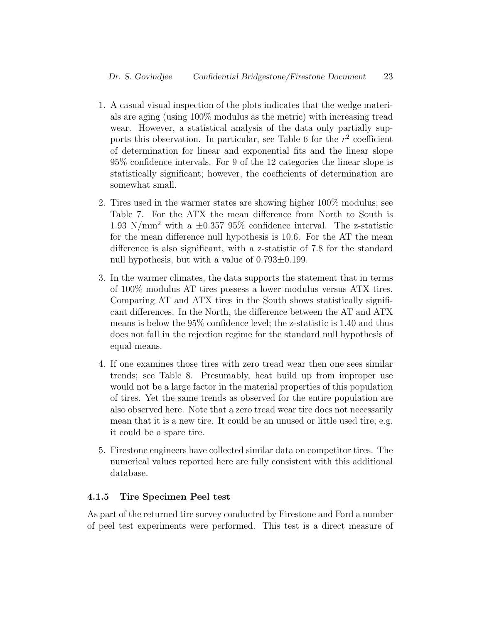- 1. A casual visual inspection of the plots indicates that the wedge materials are aging (using 100% modulus as the metric) with increasing tread wear. However, a statistical analysis of the data only partially supports this observation. In particular, see Table 6 for the  $r^2$  coefficient of determination for linear and exponential fits and the linear slope 95% confidence intervals. For 9 of the 12 categories the linear slope is statistically significant; however, the coefficients of determination are somewhat small.
- 2. Tires used in the warmer states are showing higher 100% modulus; see Table 7. For the ATX the mean difference from North to South is 1.93 N/mm<sup>2</sup> with a  $\pm 0.357$  95% confidence interval. The z-statistic for the mean difference null hypothesis is 10.6. For the AT the mean difference is also significant, with a z-statistic of 7.8 for the standard null hypothesis, but with a value of  $0.793\pm0.199$ .
- 3. In the warmer climates, the data supports the statement that in terms of 100% modulus AT tires possess a lower modulus versus ATX tires. Comparing AT and ATX tires in the South shows statistically significant differences. In the North, the difference between the AT and ATX means is below the 95% confidence level; the z-statistic is 1.40 and thus does not fall in the rejection regime for the standard null hypothesis of equal means.
- 4. If one examines those tires with zero tread wear then one sees similar trends; see Table 8. Presumably, heat build up from improper use would not be a large factor in the material properties of this population of tires. Yet the same trends as observed for the entire population are also observed here. Note that a zero tread wear tire does not necessarily mean that it is a new tire. It could be an unused or little used tire; e.g. it could be a spare tire.
- 5. Firestone engineers have collected similar data on competitor tires. The numerical values reported here are fully consistent with this additional database.

#### 4.1.5 Tire Specimen Peel test

As part of the returned tire survey conducted by Firestone and Ford a number of peel test experiments were performed. This test is a direct measure of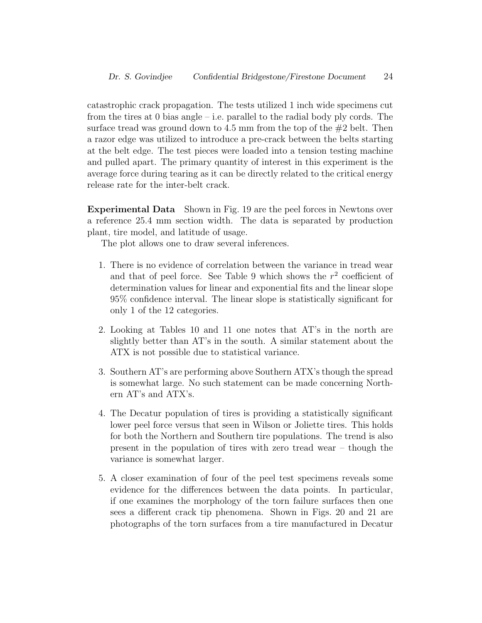catastrophic crack propagation. The tests utilized 1 inch wide specimens cut from the tires at 0 bias angle – i.e. parallel to the radial body ply cords. The surface tread was ground down to 4.5 mm from the top of the  $#2$  belt. Then a razor edge was utilized to introduce a pre-crack between the belts starting at the belt edge. The test pieces were loaded into a tension testing machine and pulled apart. The primary quantity of interest in this experiment is the average force during tearing as it can be directly related to the critical energy release rate for the inter-belt crack.

Experimental Data Shown in Fig. 19 are the peel forces in Newtons over a reference 25.4 mm section width. The data is separated by production plant, tire model, and latitude of usage.

The plot allows one to draw several inferences.

- 1. There is no evidence of correlation between the variance in tread wear and that of peel force. See Table 9 which shows the  $r^2$  coefficient of determination values for linear and exponential fits and the linear slope 95% confidence interval. The linear slope is statistically significant for only 1 of the 12 categories.
- 2. Looking at Tables 10 and 11 one notes that AT's in the north are slightly better than AT's in the south. A similar statement about the ATX is not possible due to statistical variance.
- 3. Southern AT's are performing above Southern ATX's though the spread is somewhat large. No such statement can be made concerning Northern AT's and ATX's.
- 4. The Decatur population of tires is providing a statistically significant lower peel force versus that seen in Wilson or Joliette tires. This holds for both the Northern and Southern tire populations. The trend is also present in the population of tires with zero tread wear – though the variance is somewhat larger.
- 5. A closer examination of four of the peel test specimens reveals some evidence for the differences between the data points. In particular, if one examines the morphology of the torn failure surfaces then one sees a different crack tip phenomena. Shown in Figs. 20 and 21 are photographs of the torn surfaces from a tire manufactured in Decatur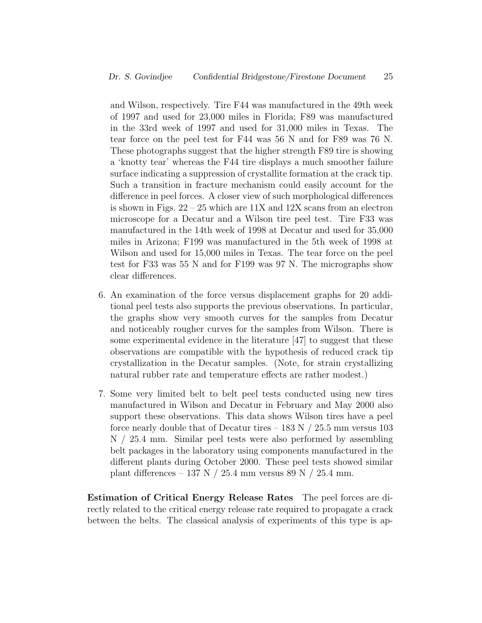and Wilson, respectively. Tire F44 was manufactured in the 49th week of 1997 and used for 23,000 miles in Florida; F89 was manufactured in the 33rd week of 1997 and used for 31,000 miles in Texas. The tear force on the peel test for F44 was 56 N and for F89 was 76 N. These photographs suggest that the higher strength F89 tire is showing a 'knotty tear' whereas the F44 tire displays a much smoother failure surface indicating a suppression of crystallite formation at the crack tip. Such a transition in fracture mechanism could easily account for the difference in peel forces. A closer view of such morphological differences is shown in Figs.  $22 - 25$  which are 11X and 12X scans from an electron microscope for a Decatur and a Wilson tire peel test. Tire F33 was manufactured in the 14th week of 1998 at Decatur and used for 35,000 miles in Arizona; F199 was manufactured in the 5th week of 1998 at Wilson and used for 15,000 miles in Texas. The tear force on the peel test for F33 was 55 N and for F199 was 97 N. The micrographs show clear differences.

- 6. An examination of the force versus displacement graphs for 20 additional peel tests also supports the previous observations. In particular, the graphs show very smooth curves for the samples from Decatur and noticeably rougher curves for the samples from Wilson. There is some experimental evidence in the literature [47] to suggest that these observations are compatible with the hypothesis of reduced crack tip crystallization in the Decatur samples. (Note, for strain crystallizing natural rubber rate and temperature effects are rather modest.)
- 7. Some very limited belt to belt peel tests conducted using new tires manufactured in Wilson and Decatur in February and May 2000 also support these observations. This data shows Wilson tires have a peel force nearly double that of Decatur tires – 183 N  $/$  25.5 mm versus 103 N / 25.4 mm. Similar peel tests were also performed by assembling belt packages in the laboratory using components manufactured in the different plants during October 2000. These peel tests showed similar plant differences – 137 N / 25.4 mm versus 89 N / 25.4 mm.

Estimation of Critical Energy Release Rates The peel forces are directly related to the critical energy release rate required to propagate a crack between the belts. The classical analysis of experiments of this type is ap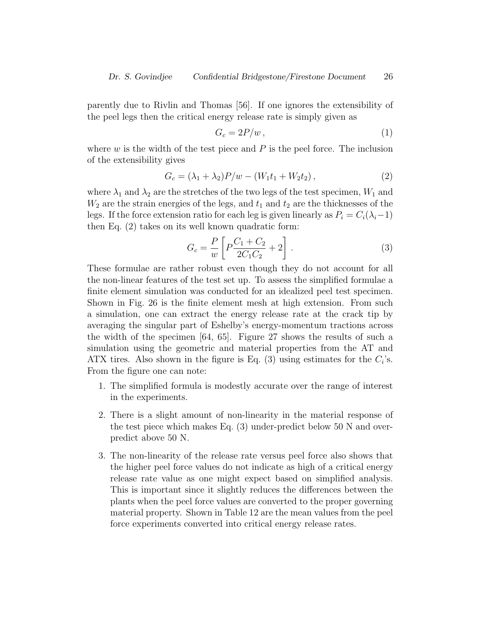parently due to Rivlin and Thomas [56]. If one ignores the extensibility of the peel legs then the critical energy release rate is simply given as

$$
G_c = 2P/w \,, \tag{1}
$$

where  $w$  is the width of the test piece and  $P$  is the peel force. The inclusion of the extensibility gives

$$
G_c = (\lambda_1 + \lambda_2)P/w - (W_1t_1 + W_2t_2), \qquad (2)
$$

where  $\lambda_1$  and  $\lambda_2$  are the stretches of the two legs of the test specimen,  $W_1$  and  $W_2$  are the strain energies of the legs, and  $t_1$  and  $t_2$  are the thicknesses of the legs. If the force extension ratio for each leg is given linearly as  $P_i = C_i(\lambda_i-1)$ then Eq. (2) takes on its well known quadratic form:

$$
G_c = \frac{P}{w} \left[ P \frac{C_1 + C_2}{2C_1 C_2} + 2 \right].
$$
 (3)

These formulae are rather robust even though they do not account for all the non-linear features of the test set up. To assess the simplified formulae a finite element simulation was conducted for an idealized peel test specimen. Shown in Fig. 26 is the finite element mesh at high extension. From such a simulation, one can extract the energy release rate at the crack tip by averaging the singular part of Eshelby's energy-momentum tractions across the width of the specimen [64, 65]. Figure 27 shows the results of such a simulation using the geometric and material properties from the AT and ATX tires. Also shown in the figure is Eq.  $(3)$  using estimates for the  $C_i$ 's. From the figure one can note:

- 1. The simplified formula is modestly accurate over the range of interest in the experiments.
- 2. There is a slight amount of non-linearity in the material response of the test piece which makes Eq. (3) under-predict below 50 N and overpredict above 50 N.
- 3. The non-linearity of the release rate versus peel force also shows that the higher peel force values do not indicate as high of a critical energy release rate value as one might expect based on simplified analysis. This is important since it slightly reduces the differences between the plants when the peel force values are converted to the proper governing material property. Shown in Table 12 are the mean values from the peel force experiments converted into critical energy release rates.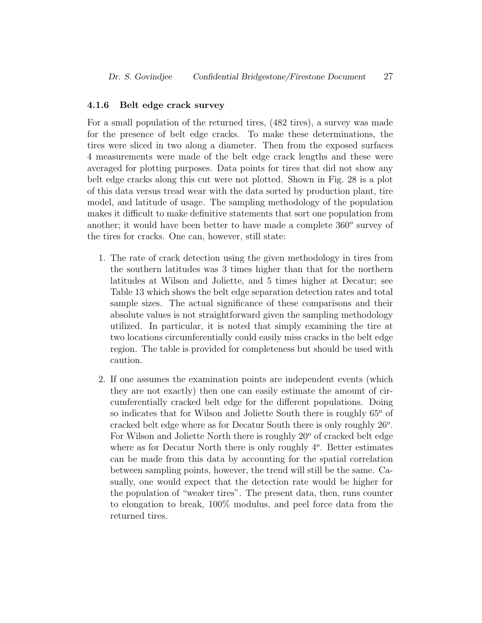#### 4.1.6 Belt edge crack survey

For a small population of the returned tires, (482 tires), a survey was made for the presence of belt edge cracks. To make these determinations, the tires were sliced in two along a diameter. Then from the exposed surfaces 4 measurements were made of the belt edge crack lengths and these were averaged for plotting purposes. Data points for tires that did not show any belt edge cracks along this cut were not plotted. Shown in Fig. 28 is a plot of this data versus tread wear with the data sorted by production plant, tire model, and latitude of usage. The sampling methodology of the population makes it difficult to make definitive statements that sort one population from another; it would have been better to have made a complete  $360^{\circ}$  survey of the tires for cracks. One can, however, still state:

- 1. The rate of crack detection using the given methodology in tires from the southern latitudes was 3 times higher than that for the northern latitudes at Wilson and Joliette, and 5 times higher at Decatur; see Table 13 which shows the belt edge separation detection rates and total sample sizes. The actual significance of these comparisons and their absolute values is not straightforward given the sampling methodology utilized. In particular, it is noted that simply examining the tire at two locations circumferentially could easily miss cracks in the belt edge region. The table is provided for completeness but should be used with caution.
- 2. If one assumes the examination points are independent events (which they are not exactly) then one can easily estimate the amount of circumferentially cracked belt edge for the different populations. Doing so indicates that for Wilson and Joliette South there is roughly  $65^{\circ}$  of cracked belt edge where as for Decatur South there is only roughly  $26^o$ . For Wilson and Joliette North there is roughly  $20^{\circ}$  of cracked belt edge where as for Decatur North there is only roughly  $4^o$ . Better estimates can be made from this data by accounting for the spatial correlation between sampling points, however, the trend will still be the same. Casually, one would expect that the detection rate would be higher for the population of "weaker tires". The present data, then, runs counter to elongation to break, 100% modulus, and peel force data from the returned tires.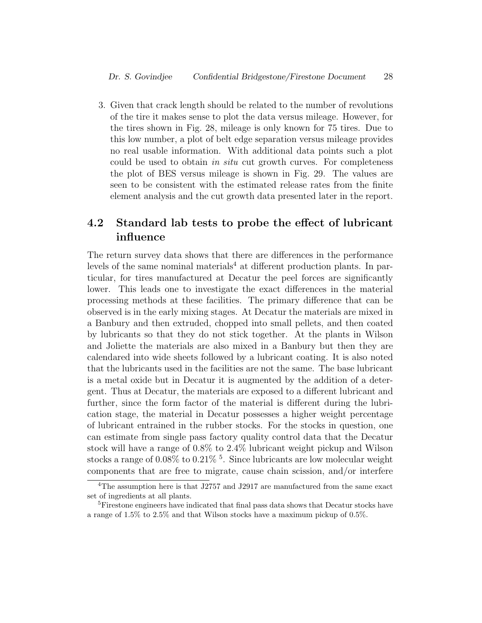3. Given that crack length should be related to the number of revolutions of the tire it makes sense to plot the data versus mileage. However, for the tires shown in Fig. 28, mileage is only known for 75 tires. Due to this low number, a plot of belt edge separation versus mileage provides no real usable information. With additional data points such a plot could be used to obtain in situ cut growth curves. For completeness the plot of BES versus mileage is shown in Fig. 29. The values are seen to be consistent with the estimated release rates from the finite element analysis and the cut growth data presented later in the report.

## 4.2 Standard lab tests to probe the effect of lubricant influence

The return survey data shows that there are differences in the performance levels of the same nominal materials<sup>4</sup> at different production plants. In particular, for tires manufactured at Decatur the peel forces are significantly lower. This leads one to investigate the exact differences in the material processing methods at these facilities. The primary difference that can be observed is in the early mixing stages. At Decatur the materials are mixed in a Banbury and then extruded, chopped into small pellets, and then coated by lubricants so that they do not stick together. At the plants in Wilson and Joliette the materials are also mixed in a Banbury but then they are calendared into wide sheets followed by a lubricant coating. It is also noted that the lubricants used in the facilities are not the same. The base lubricant is a metal oxide but in Decatur it is augmented by the addition of a detergent. Thus at Decatur, the materials are exposed to a different lubricant and further, since the form factor of the material is different during the lubrication stage, the material in Decatur possesses a higher weight percentage of lubricant entrained in the rubber stocks. For the stocks in question, one can estimate from single pass factory quality control data that the Decatur stock will have a range of 0.8% to 2.4% lubricant weight pickup and Wilson stocks a range of 0.08% to 0.21%<sup>5</sup>. Since lubricants are low molecular weight components that are free to migrate, cause chain scission, and/or interfere

<sup>&</sup>lt;sup>4</sup>The assumption here is that J2757 and J2917 are manufactured from the same exact set of ingredients at all plants.

<sup>&</sup>lt;sup>5</sup>Firestone engineers have indicated that final pass data shows that Decatur stocks have a range of 1.5% to 2.5% and that Wilson stocks have a maximum pickup of 0.5%.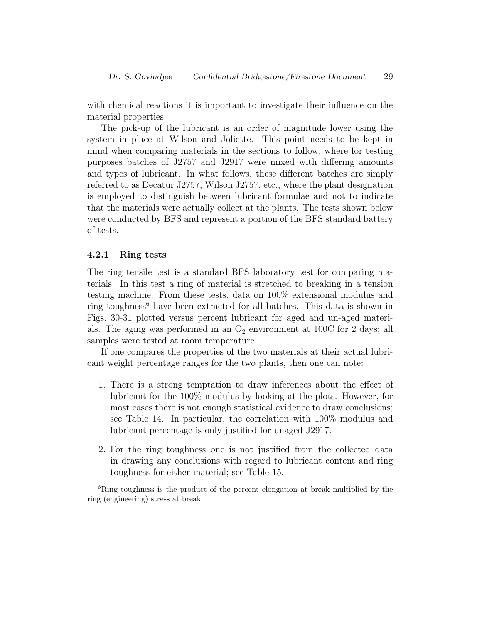with chemical reactions it is important to investigate their influence on the material properties.

The pick-up of the lubricant is an order of magnitude lower using the system in place at Wilson and Joliette. This point needs to be kept in mind when comparing materials in the sections to follow, where for testing purposes batches of J2757 and J2917 were mixed with differing amounts and types of lubricant. In what follows, these different batches are simply referred to as Decatur J2757, Wilson J2757, etc., where the plant designation is employed to distinguish between lubricant formulae and not to indicate that the materials were actually collect at the plants. The tests shown below were conducted by BFS and represent a portion of the BFS standard battery of tests.

#### 4.2.1 Ring tests

The ring tensile test is a standard BFS laboratory test for comparing materials. In this test a ring of material is stretched to breaking in a tension testing machine. From these tests, data on 100% extensional modulus and ring toughness<sup>6</sup> have been extracted for all batches. This data is shown in Figs. 30-31 plotted versus percent lubricant for aged and un-aged materials. The aging was performed in an  $O_2$  environment at 100C for 2 days; all samples were tested at room temperature.

If one compares the properties of the two materials at their actual lubricant weight percentage ranges for the two plants, then one can note:

- 1. There is a strong temptation to draw inferences about the effect of lubricant for the 100% modulus by looking at the plots. However, for most cases there is not enough statistical evidence to draw conclusions; see Table 14. In particular, the correlation with 100% modulus and lubricant percentage is only justified for unaged J2917.
- 2. For the ring toughness one is not justified from the collected data in drawing any conclusions with regard to lubricant content and ring toughness for either material; see Table 15.

 ${}^{6}$ Ring toughness is the product of the percent elongation at break multiplied by the ring (engineering) stress at break.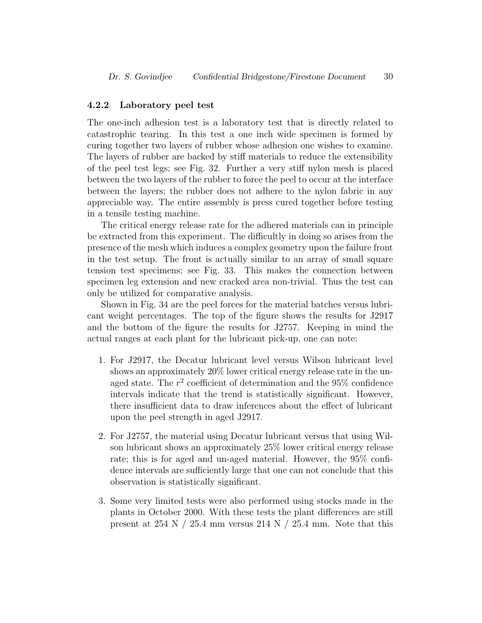#### 4.2.2 Laboratory peel test

The one-inch adhesion test is a laboratory test that is directly related to catastrophic tearing. In this test a one inch wide specimen is formed by curing together two layers of rubber whose adhesion one wishes to examine. The layers of rubber are backed by stiff materials to reduce the extensibility of the peel test legs; see Fig. 32. Further a very stiff nylon mesh is placed between the two layers of the rubber to force the peel to occur at the interface between the layers; the rubber does not adhere to the nylon fabric in any appreciable way. The entire assembly is press cured together before testing in a tensile testing machine.

The critical energy release rate for the adhered materials can in principle be extracted from this experiment. The difficultly in doing so arises from the presence of the mesh which induces a complex geometry upon the failure front in the test setup. The front is actually similar to an array of small square tension test specimens; see Fig. 33. This makes the connection between specimen leg extension and new cracked area non-trivial. Thus the test can only be utilized for comparative analysis.

Shown in Fig. 34 are the peel forces for the material batches versus lubricant weight percentages. The top of the figure shows the results for J2917 and the bottom of the figure the results for J2757. Keeping in mind the actual ranges at each plant for the lubricant pick-up, one can note:

- 1. For J2917, the Decatur lubricant level versus Wilson lubricant level shows an approximately 20% lower critical energy release rate in the unaged state. The  $r^2$  coefficient of determination and the 95% confidence intervals indicate that the trend is statistically significant. However, there insufficient data to draw inferences about the effect of lubricant upon the peel strength in aged J2917.
- 2. For J2757, the material using Decatur lubricant versus that using Wilson lubricant shows an approximately 25% lower critical energy release rate; this is for aged and un-aged material. However, the 95% confidence intervals are sufficiently large that one can not conclude that this observation is statistically significant.
- 3. Some very limited tests were also performed using stocks made in the plants in October 2000. With these tests the plant differences are still present at  $254$  N  $/$   $25.4$  mm versus  $214$  N  $/$   $25.4$  mm. Note that this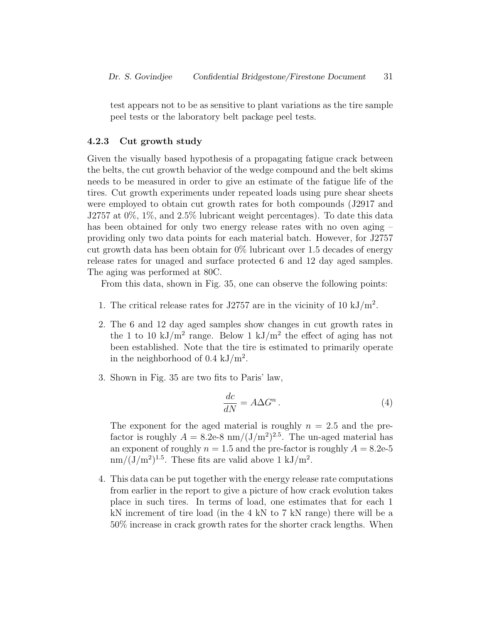test appears not to be as sensitive to plant variations as the tire sample peel tests or the laboratory belt package peel tests.

#### 4.2.3 Cut growth study

Given the visually based hypothesis of a propagating fatigue crack between the belts, the cut growth behavior of the wedge compound and the belt skims needs to be measured in order to give an estimate of the fatigue life of the tires. Cut growth experiments under repeated loads using pure shear sheets were employed to obtain cut growth rates for both compounds (J2917 and J2757 at 0%, 1%, and 2.5% lubricant weight percentages). To date this data has been obtained for only two energy release rates with no oven aging – providing only two data points for each material batch. However, for J2757 cut growth data has been obtain for  $0\%$  lubricant over 1.5 decades of energy release rates for unaged and surface protected 6 and 12 day aged samples. The aging was performed at 80C.

From this data, shown in Fig. 35, one can observe the following points:

- 1. The critical release rates for J2757 are in the vicinity of 10 kJ/m<sup>2</sup>.
- 2. The 6 and 12 day aged samples show changes in cut growth rates in the 1 to 10 kJ/m<sup>2</sup> range. Below 1 kJ/m<sup>2</sup> the effect of aging has not been established. Note that the tire is estimated to primarily operate in the neighborhood of  $0.4 \text{ kJ/m}^2$ .
- 3. Shown in Fig. 35 are two fits to Paris' law,

$$
\frac{dc}{dN} = A\Delta G^n \,. \tag{4}
$$

The exponent for the aged material is roughly  $n = 2.5$  and the prefactor is roughly  $A = 8.2e-8$  nm/ $(J/m^2)^{2.5}$ . The un-aged material has an exponent of roughly  $n = 1.5$  and the pre-factor is roughly  $A = 8.2e-5$  $nm/(J/m^2)^{1.5}$ . These fits are valid above 1 kJ/m<sup>2</sup>.

4. This data can be put together with the energy release rate computations from earlier in the report to give a picture of how crack evolution takes place in such tires. In terms of load, one estimates that for each 1 kN increment of tire load (in the 4 kN to 7 kN range) there will be a 50% increase in crack growth rates for the shorter crack lengths. When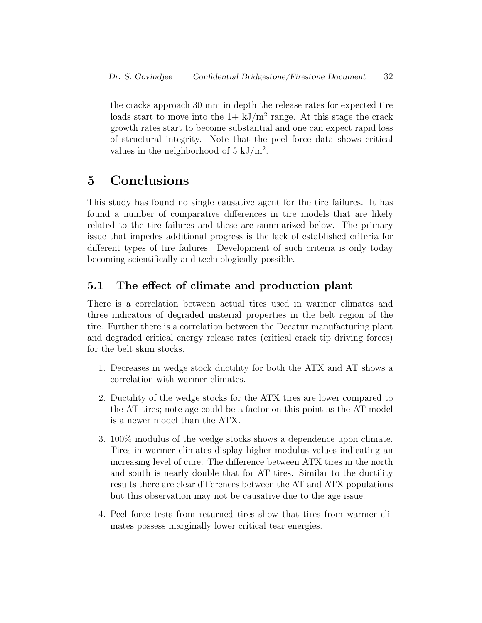the cracks approach 30 mm in depth the release rates for expected tire loads start to move into the  $1 + kJ/m^2$  range. At this stage the crack growth rates start to become substantial and one can expect rapid loss of structural integrity. Note that the peel force data shows critical values in the neighborhood of  $5 \text{ kJ/m}^2$ .

## 5 Conclusions

This study has found no single causative agent for the tire failures. It has found a number of comparative differences in tire models that are likely related to the tire failures and these are summarized below. The primary issue that impedes additional progress is the lack of established criteria for different types of tire failures. Development of such criteria is only today becoming scientifically and technologically possible.

## 5.1 The effect of climate and production plant

There is a correlation between actual tires used in warmer climates and three indicators of degraded material properties in the belt region of the tire. Further there is a correlation between the Decatur manufacturing plant and degraded critical energy release rates (critical crack tip driving forces) for the belt skim stocks.

- 1. Decreases in wedge stock ductility for both the ATX and AT shows a correlation with warmer climates.
- 2. Ductility of the wedge stocks for the ATX tires are lower compared to the AT tires; note age could be a factor on this point as the AT model is a newer model than the ATX.
- 3. 100% modulus of the wedge stocks shows a dependence upon climate. Tires in warmer climates display higher modulus values indicating an increasing level of cure. The difference between ATX tires in the north and south is nearly double that for AT tires. Similar to the ductility results there are clear differences between the AT and ATX populations but this observation may not be causative due to the age issue.
- 4. Peel force tests from returned tires show that tires from warmer climates possess marginally lower critical tear energies.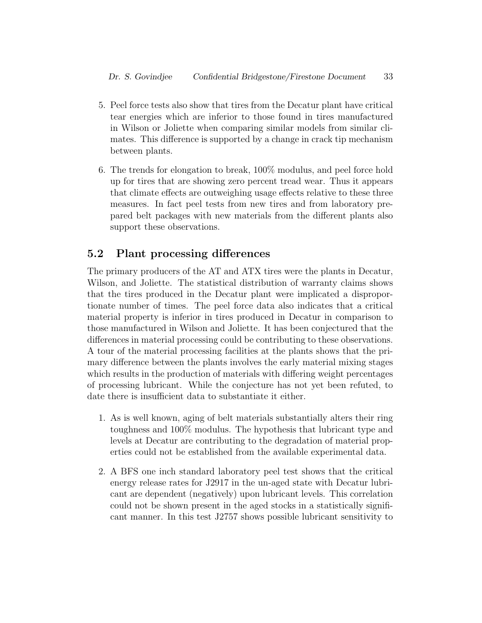- 5. Peel force tests also show that tires from the Decatur plant have critical tear energies which are inferior to those found in tires manufactured in Wilson or Joliette when comparing similar models from similar climates. This difference is supported by a change in crack tip mechanism between plants.
- 6. The trends for elongation to break, 100% modulus, and peel force hold up for tires that are showing zero percent tread wear. Thus it appears that climate effects are outweighing usage effects relative to these three measures. In fact peel tests from new tires and from laboratory prepared belt packages with new materials from the different plants also support these observations.

#### 5.2 Plant processing differences

The primary producers of the AT and ATX tires were the plants in Decatur, Wilson, and Joliette. The statistical distribution of warranty claims shows that the tires produced in the Decatur plant were implicated a disproportionate number of times. The peel force data also indicates that a critical material property is inferior in tires produced in Decatur in comparison to those manufactured in Wilson and Joliette. It has been conjectured that the differences in material processing could be contributing to these observations. A tour of the material processing facilities at the plants shows that the primary difference between the plants involves the early material mixing stages which results in the production of materials with differing weight percentages of processing lubricant. While the conjecture has not yet been refuted, to date there is insufficient data to substantiate it either.

- 1. As is well known, aging of belt materials substantially alters their ring toughness and 100% modulus. The hypothesis that lubricant type and levels at Decatur are contributing to the degradation of material properties could not be established from the available experimental data.
- 2. A BFS one inch standard laboratory peel test shows that the critical energy release rates for J2917 in the un-aged state with Decatur lubricant are dependent (negatively) upon lubricant levels. This correlation could not be shown present in the aged stocks in a statistically significant manner. In this test J2757 shows possible lubricant sensitivity to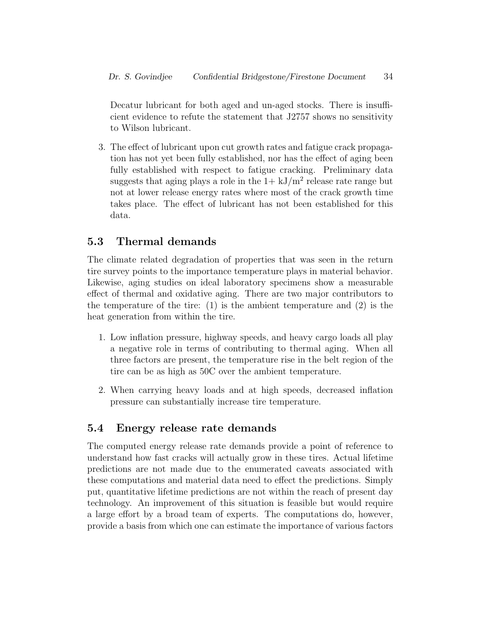Decatur lubricant for both aged and un-aged stocks. There is insufficient evidence to refute the statement that J2757 shows no sensitivity to Wilson lubricant.

3. The effect of lubricant upon cut growth rates and fatigue crack propagation has not yet been fully established, nor has the effect of aging been fully established with respect to fatigue cracking. Preliminary data suggests that aging plays a role in the  $1+ kJ/m^2$  release rate range but not at lower release energy rates where most of the crack growth time takes place. The effect of lubricant has not been established for this data.

## 5.3 Thermal demands

The climate related degradation of properties that was seen in the return tire survey points to the importance temperature plays in material behavior. Likewise, aging studies on ideal laboratory specimens show a measurable effect of thermal and oxidative aging. There are two major contributors to the temperature of the tire: (1) is the ambient temperature and (2) is the heat generation from within the tire.

- 1. Low inflation pressure, highway speeds, and heavy cargo loads all play a negative role in terms of contributing to thermal aging. When all three factors are present, the temperature rise in the belt region of the tire can be as high as 50C over the ambient temperature.
- 2. When carrying heavy loads and at high speeds, decreased inflation pressure can substantially increase tire temperature.

## 5.4 Energy release rate demands

The computed energy release rate demands provide a point of reference to understand how fast cracks will actually grow in these tires. Actual lifetime predictions are not made due to the enumerated caveats associated with these computations and material data need to effect the predictions. Simply put, quantitative lifetime predictions are not within the reach of present day technology. An improvement of this situation is feasible but would require a large effort by a broad team of experts. The computations do, however, provide a basis from which one can estimate the importance of various factors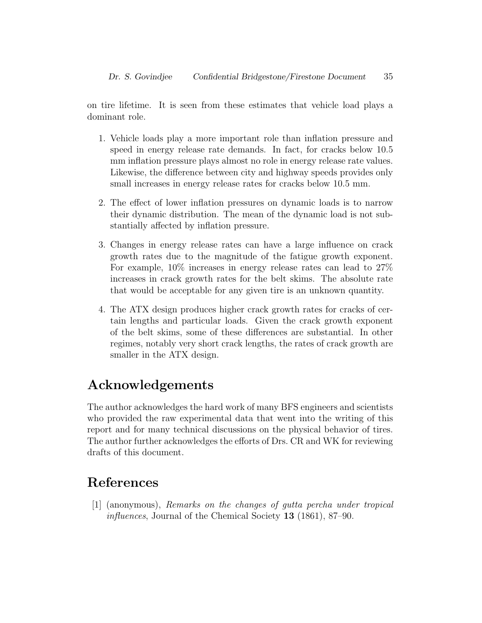on tire lifetime. It is seen from these estimates that vehicle load plays a dominant role.

- 1. Vehicle loads play a more important role than inflation pressure and speed in energy release rate demands. In fact, for cracks below 10.5 mm inflation pressure plays almost no role in energy release rate values. Likewise, the difference between city and highway speeds provides only small increases in energy release rates for cracks below 10.5 mm.
- 2. The effect of lower inflation pressures on dynamic loads is to narrow their dynamic distribution. The mean of the dynamic load is not substantially affected by inflation pressure.
- 3. Changes in energy release rates can have a large influence on crack growth rates due to the magnitude of the fatigue growth exponent. For example, 10% increases in energy release rates can lead to 27% increases in crack growth rates for the belt skims. The absolute rate that would be acceptable for any given tire is an unknown quantity.
- 4. The ATX design produces higher crack growth rates for cracks of certain lengths and particular loads. Given the crack growth exponent of the belt skims, some of these differences are substantial. In other regimes, notably very short crack lengths, the rates of crack growth are smaller in the ATX design.

## Acknowledgements

The author acknowledges the hard work of many BFS engineers and scientists who provided the raw experimental data that went into the writing of this report and for many technical discussions on the physical behavior of tires. The author further acknowledges the efforts of Drs. CR and WK for reviewing drafts of this document.

## References

[1] (anonymous), Remarks on the changes of gutta percha under tropical influences, Journal of the Chemical Society 13 (1861), 87–90.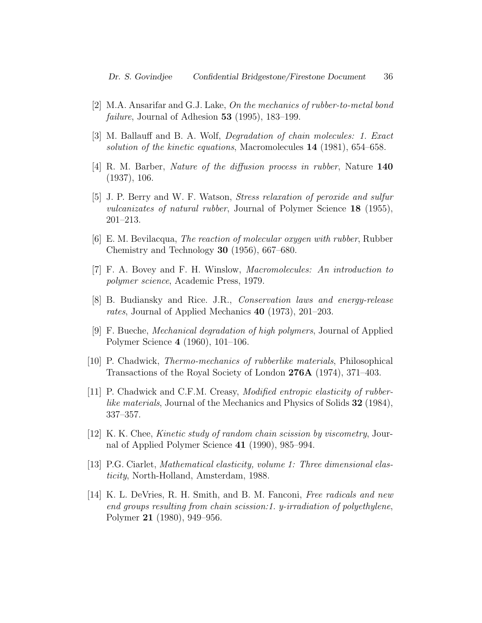- [2] M.A. Ansarifar and G.J. Lake, On the mechanics of rubber-to-metal bond *failure*, Journal of Adhesion  $53$  (1995), 183–199.
- [3] M. Ballauff and B. A. Wolf, Degradation of chain molecules: 1. Exact solution of the kinetic equations, Macromolecules 14 (1981), 654–658.
- [4] R. M. Barber, Nature of the diffusion process in rubber, Nature 140 (1937), 106.
- [5] J. P. Berry and W. F. Watson, Stress relaxation of peroxide and sulfur vulcanizates of natural rubber, Journal of Polymer Science 18 (1955), 201–213.
- [6] E. M. Bevilacqua, The reaction of molecular oxygen with rubber, Rubber Chemistry and Technology 30 (1956), 667–680.
- [7] F. A. Bovey and F. H. Winslow, Macromolecules: An introduction to polymer science, Academic Press, 1979.
- [8] B. Budiansky and Rice. J.R., Conservation laws and energy-release rates, Journal of Applied Mechanics 40 (1973), 201–203.
- [9] F. Bueche, Mechanical degradation of high polymers, Journal of Applied Polymer Science 4 (1960), 101–106.
- [10] P. Chadwick, Thermo-mechanics of rubberlike materials, Philosophical Transactions of the Royal Society of London 276A (1974), 371–403.
- [11] P. Chadwick and C.F.M. Creasy, Modified entropic elasticity of rubberlike materials, Journal of the Mechanics and Physics of Solids 32 (1984), 337–357.
- [12] K. K. Chee, *Kinetic study of random chain scission by viscometry*, Journal of Applied Polymer Science 41 (1990), 985–994.
- [13] P.G. Ciarlet, Mathematical elasticity, volume 1: Three dimensional elasticity, North-Holland, Amsterdam, 1988.
- [14] K. L. DeVries, R. H. Smith, and B. M. Fanconi, Free radicals and new end groups resulting from chain scission:1. y-irradiation of polyethylene, Polymer 21 (1980), 949–956.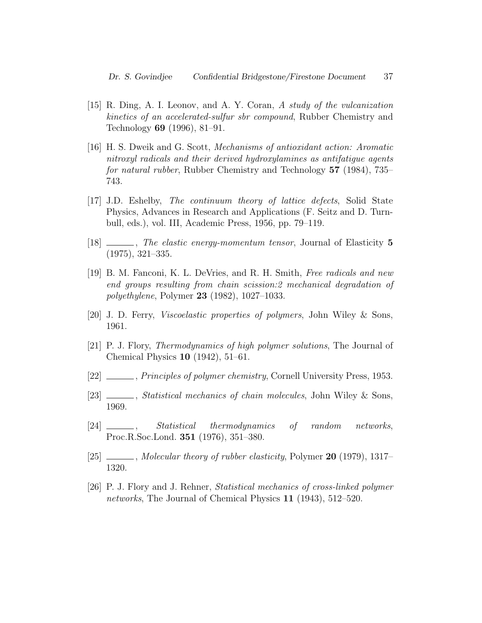- [15] R. Ding, A. I. Leonov, and A. Y. Coran, A study of the vulcanization kinetics of an accelerated-sulfur sbr compound, Rubber Chemistry and Technology 69 (1996), 81–91.
- [16] H. S. Dweik and G. Scott, Mechanisms of antioxidant action: Aromatic nitroxyl radicals and their derived hydroxylamines as antifatigue agents for natural rubber, Rubber Chemistry and Technology 57 (1984), 735– 743.
- [17] J.D. Eshelby, The continuum theory of lattice defects, Solid State Physics, Advances in Research and Applications (F. Seitz and D. Turnbull, eds.), vol. III, Academic Press, 1956, pp. 79–119.
- [18]  $\frac{1}{18}$   $\frac{1}{18}$   $\frac{1}{18}$   $\frac{1}{18}$   $\frac{1}{18}$   $\frac{1}{18}$   $\frac{1}{18}$   $\frac{1}{18}$   $\frac{1}{18}$   $\frac{1}{18}$   $\frac{1}{18}$   $\frac{1}{18}$   $\frac{1}{18}$   $\frac{1}{18}$   $\frac{1}{18}$   $\frac{1}{18}$   $\frac{1}{18}$   $\frac{1}{18}$   $\frac{1}{18}$   $\frac{1}{18$ (1975), 321–335.
- [19] B. M. Fanconi, K. L. DeVries, and R. H. Smith, Free radicals and new end groups resulting from chain scission:2 mechanical degradation of polyethylene, Polymer 23 (1982), 1027–1033.
- [20] J. D. Ferry, Viscoelastic properties of polymers, John Wiley & Sons, 1961.
- [21] P. J. Flory, Thermodynamics of high polymer solutions, The Journal of Chemical Physics 10 (1942), 51–61.
- [22]  $\_\_\_\_\_\$  Principles of polymer chemistry, Cornell University Press, 1953.
- [23] Statistical mechanics of chain molecules, John Wiley & Sons, 1969.
- [24] , Statistical thermodynamics of random networks, Proc.R.Soc.Lond. 351 (1976), 351–380.
- $[25]$   $\_\_\_\_\_\$ , Molecular theory of rubber elasticity, Polymer 20 (1979), 1317– 1320.
- [26] P. J. Flory and J. Rehner, Statistical mechanics of cross-linked polymer networks, The Journal of Chemical Physics 11 (1943), 512–520.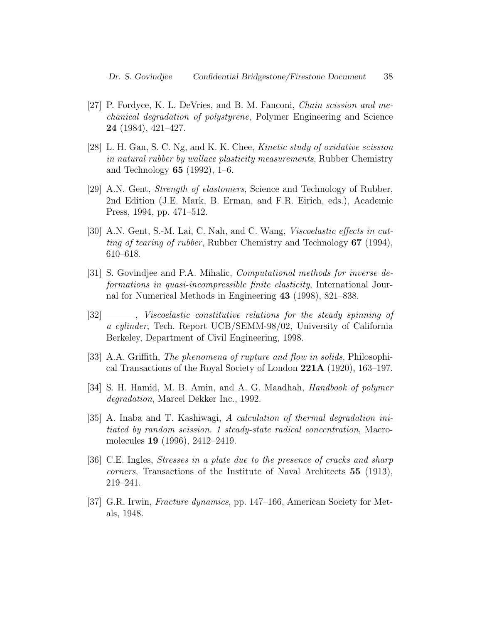- [27] P. Fordyce, K. L. DeVries, and B. M. Fanconi, Chain scission and mechanical degradation of polystyrene, Polymer Engineering and Science 24 (1984), 421–427.
- [28] L. H. Gan, S. C. Ng, and K. K. Chee, Kinetic study of oxidative scission in natural rubber by wallace plasticity measurements, Rubber Chemistry and Technology 65 (1992), 1–6.
- [29] A.N. Gent, Strength of elastomers, Science and Technology of Rubber, 2nd Edition (J.E. Mark, B. Erman, and F.R. Eirich, eds.), Academic Press, 1994, pp. 471–512.
- [30] A.N. Gent, S.-M. Lai, C. Nah, and C. Wang, Viscoelastic effects in cutting of tearing of rubber, Rubber Chemistry and Technology 67 (1994), 610–618.
- [31] S. Govindjee and P.A. Mihalic, Computational methods for inverse deformations in quasi-incompressible finite elasticity, International Journal for Numerical Methods in Engineering 43 (1998), 821–838.
- [32]  $\_\_\_\_\_\_\$  Viscoelastic constitutive relations for the steady spinning of a cylinder, Tech. Report UCB/SEMM-98/02, University of California Berkeley, Department of Civil Engineering, 1998.
- [33] A.A. Griffith, *The phenomena of rupture and flow in solids*, Philosophical Transactions of the Royal Society of London 221A (1920), 163–197.
- [34] S. H. Hamid, M. B. Amin, and A. G. Maadhah, *Handbook of polymer* degradation, Marcel Dekker Inc., 1992.
- [35] A. Inaba and T. Kashiwagi, A calculation of thermal degradation initiated by random scission. 1 steady-state radical concentration, Macromolecules 19 (1996), 2412–2419.
- [36] C.E. Ingles, Stresses in a plate due to the presence of cracks and sharp corners, Transactions of the Institute of Naval Architects 55 (1913), 219–241.
- [37] G.R. Irwin, Fracture dynamics, pp. 147–166, American Society for Metals, 1948.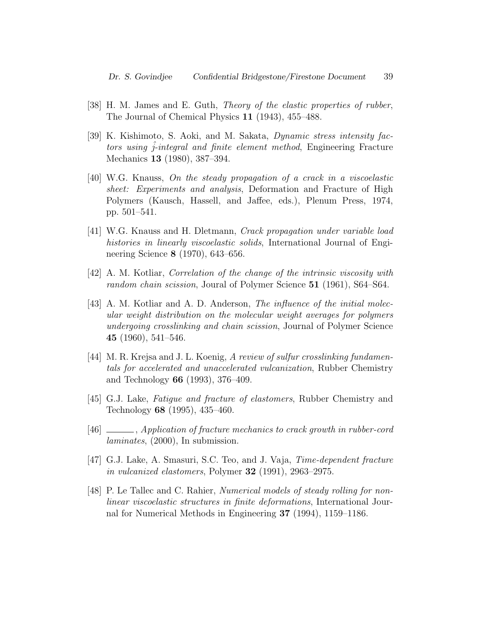- [38] H. M. James and E. Guth, Theory of the elastic properties of rubber, The Journal of Chemical Physics 11 (1943), 455–488.
- [39] K. Kishimoto, S. Aoki, and M. Sakata, Dynamic stress intensity factors using  $\hat{j}$ -integral and finite element method, Engineering Fracture Mechanics 13 (1980), 387–394.
- [40] W.G. Knauss, On the steady propagation of a crack in a viscoelastic sheet: Experiments and analysis, Deformation and Fracture of High Polymers (Kausch, Hassell, and Jaffee, eds.), Plenum Press, 1974, pp. 501–541.
- [41] W.G. Knauss and H. Dletmann, Crack propagation under variable load histories in linearly viscoelastic solids, International Journal of Engineering Science 8 (1970), 643–656.
- [42] A. M. Kotliar, Correlation of the change of the intrinsic viscosity with random chain scission, Joural of Polymer Science 51 (1961), S64–S64.
- [43] A. M. Kotliar and A. D. Anderson, The influence of the initial molecular weight distribution on the molecular weight averages for polymers undergoing crosslinking and chain scission, Journal of Polymer Science 45 (1960), 541–546.
- [44] M. R. Krejsa and J. L. Koenig, A review of sulfur crosslinking fundamentals for accelerated and unaccelerated vulcanization, Rubber Chemistry and Technology 66 (1993), 376–409.
- [45] G.J. Lake, Fatigue and fracture of elastomers, Rubber Chemistry and Technology 68 (1995), 435–460.
- [46] , Application of fracture mechanics to crack growth in rubber-cord laminates, (2000), In submission.
- [47] G.J. Lake, A. Smasuri, S.C. Teo, and J. Vaja, Time-dependent fracture in vulcanized elastomers, Polymer  $32$  (1991), 2963–2975.
- [48] P. Le Tallec and C. Rahier, Numerical models of steady rolling for nonlinear viscoelastic structures in finite deformations, International Journal for Numerical Methods in Engineering 37 (1994), 1159–1186.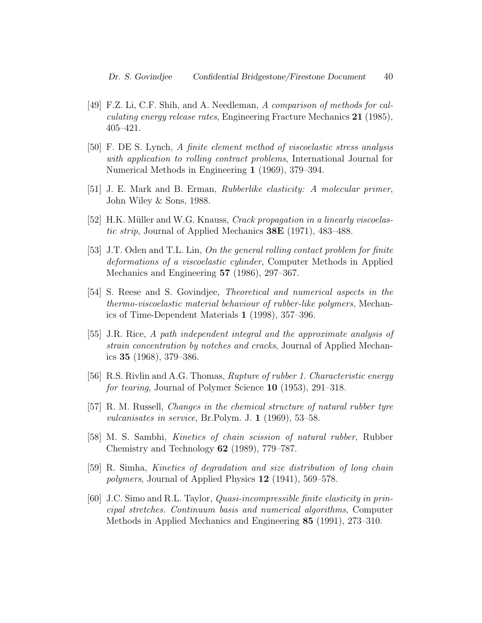- [49] F.Z. Li, C.F. Shih, and A. Needleman, A comparison of methods for calculating energy release rates, Engineering Fracture Mechanics 21 (1985), 405–421.
- [50] F. DE S. Lynch, A finite element method of viscoelastic stress analysis with application to rolling contract problems, International Journal for Numerical Methods in Engineering 1 (1969), 379–394.
- [51] J. E. Mark and B. Erman, Rubberlike elasticity: A molecular primer, John Wiley & Sons, 1988.
- [52] H.K. Müller and W.G. Knauss, *Crack propagation in a linearly viscoelas*tic strip, Journal of Applied Mechanics 38E (1971), 483–488.
- [53] J.T. Oden and T.L. Lin, On the general rolling contact problem for finite deformations of a viscoelastic cylinder, Computer Methods in Applied Mechanics and Engineering 57 (1986), 297–367.
- [54] S. Reese and S. Govindjee, Theoretical and numerical aspects in the thermo-viscoelastic material behaviour of rubber-like polymers, Mechanics of Time-Dependent Materials 1 (1998), 357–396.
- [55] J.R. Rice, A path independent integral and the approximate analysis of strain concentration by notches and cracks, Journal of Applied Mechanics 35 (1968), 379–386.
- [56] R.S. Rivlin and A.G. Thomas, Rupture of rubber 1. Characteristic energy for tearing, Journal of Polymer Science 10 (1953), 291–318.
- [57] R. M. Russell, Changes in the chemical structure of natural rubber tyre vulcanisates in service, Br.Polym. J. 1 (1969), 53–58.
- [58] M. S. Sambhi, Kinetics of chain scission of natural rubber, Rubber Chemistry and Technology 62 (1989), 779–787.
- [59] R. Simha, Kinetics of degradation and size distribution of long chain polymers, Journal of Applied Physics 12 (1941), 569–578.
- [60] J.C. Simo and R.L. Taylor, Quasi-incompressible finite elasticity in principal stretches. Continuum basis and numerical algorithms, Computer Methods in Applied Mechanics and Engineering 85 (1991), 273–310.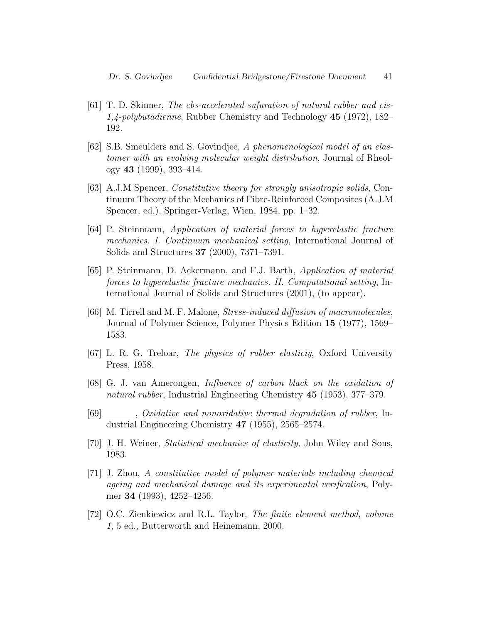- [61] T. D. Skinner, The cbs-accelerated sufuration of natural rubber and cis-1,4-polybutadienne, Rubber Chemistry and Technology 45 (1972), 182– 192.
- [62] S.B. Smeulders and S. Govindjee, A phenomenological model of an elastomer with an evolving molecular weight distribution, Journal of Rheology 43 (1999), 393–414.
- [63] A.J.M Spencer, Constitutive theory for strongly anisotropic solids, Continuum Theory of the Mechanics of Fibre-Reinforced Composites (A.J.M Spencer, ed.), Springer-Verlag, Wien, 1984, pp. 1–32.
- [64] P. Steinmann, Application of material forces to hyperelastic fracture mechanics. I. Continuum mechanical setting, International Journal of Solids and Structures 37 (2000), 7371–7391.
- [65] P. Steinmann, D. Ackermann, and F.J. Barth, Application of material forces to hyperelastic fracture mechanics. II. Computational setting, International Journal of Solids and Structures (2001), (to appear).
- [66] M. Tirrell and M. F. Malone, Stress-induced diffusion of macromolecules, Journal of Polymer Science, Polymer Physics Edition 15 (1977), 1569– 1583.
- [67] L. R. G. Treloar, The physics of rubber elasticiy, Oxford University Press, 1958.
- [68] G. J. van Amerongen, Influence of carbon black on the oxidation of natural rubber, Industrial Engineering Chemistry 45 (1953), 377–379.
- [69] , Oxidative and nonoxidative thermal degradation of rubber, Industrial Engineering Chemistry 47 (1955), 2565–2574.
- [70] J. H. Weiner, Statistical mechanics of elasticity, John Wiley and Sons, 1983.
- [71] J. Zhou, A constitutive model of polymer materials including chemical ageing and mechanical damage and its experimental verification, Polymer 34 (1993), 4252–4256.
- [72] O.C. Zienkiewicz and R.L. Taylor, The finite element method, volume 1, 5 ed., Butterworth and Heinemann, 2000.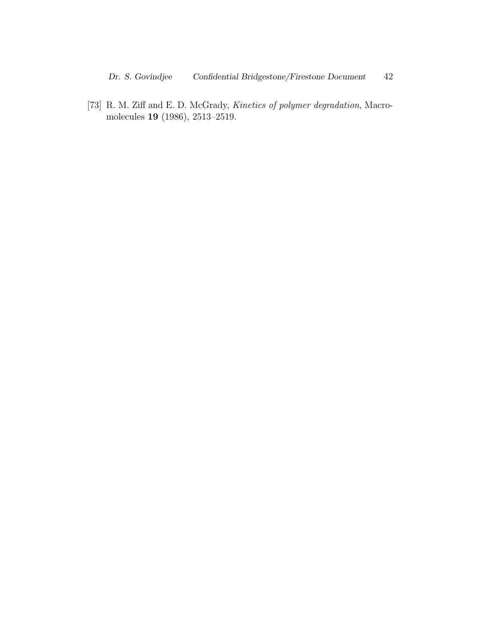[73] R. M. Ziff and E. D. McGrady, Kinetics of polymer degradation, Macromolecules 19 (1986), 2513–2519.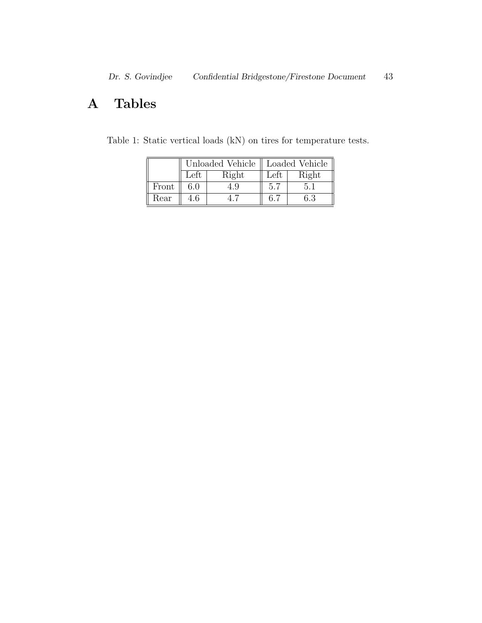## A Tables

|       |               |       | Unloaded Vehicle    Loaded Vehicle |       |
|-------|---------------|-------|------------------------------------|-------|
|       | $_{\rm Left}$ | Right | <b>Let</b> u                       | Right |
| Front |               |       |                                    |       |
| Rear  |               |       |                                    | 6.3   |

Table 1: Static vertical loads (kN) on tires for temperature tests.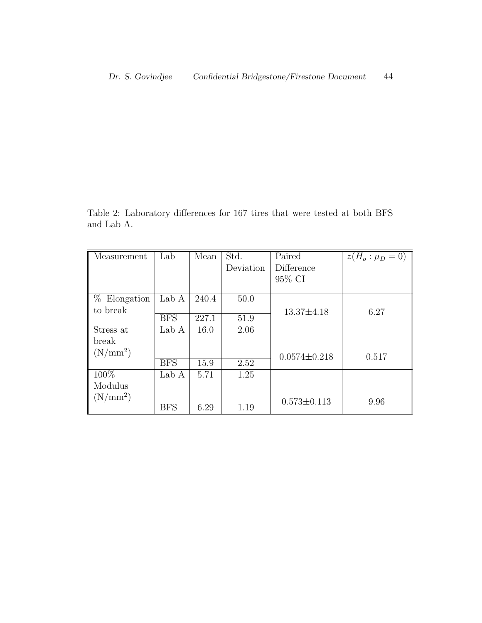Table 2: Laboratory differences for 167 tires that were tested at both BFS and Lab A.

| Measurement    | Lab        | Mean  | Std.      | Paired             | $z(H_o: \mu_D = 0)$ |
|----------------|------------|-------|-----------|--------------------|---------------------|
|                |            |       | Deviation | Difference         |                     |
|                |            |       |           | 95% CI             |                     |
|                |            |       |           |                    |                     |
| $%$ Elongation | Lab A      | 240.4 | 50.0      |                    |                     |
| to break       |            |       |           | $13.37 \pm 4.18$   | 6.27                |
|                | <b>BFS</b> | 227.1 | 51.9      |                    |                     |
| Stress at      | Lab A      | 16.0  | 2.06      |                    |                     |
| break          |            |       |           |                    |                     |
| $(N/mm^2)$     |            |       |           | $0.0574 \pm 0.218$ | 0.517               |
|                | <b>BFS</b> | 15.9  | 2.52      |                    |                     |
| 100%           | Lab A      | 5.71  | 1.25      |                    |                     |
| Modulus        |            |       |           |                    |                     |
| $(N/mm^2)$     |            |       |           | $0.573 \pm 0.113$  | 9.96                |
|                | <b>BFS</b> | 6.29  | 1.19      |                    |                     |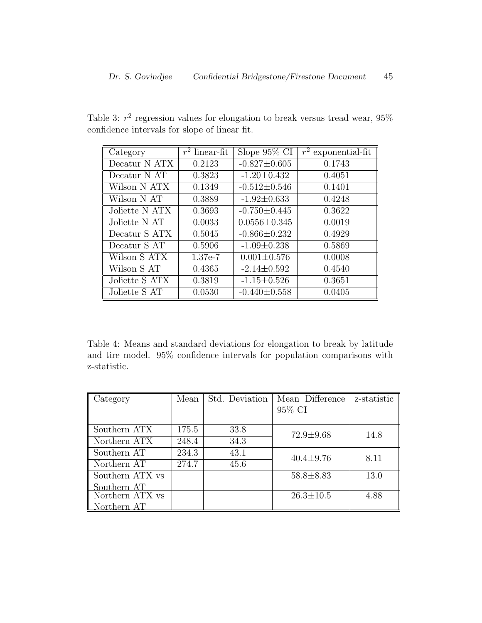Table 3:  $r^2$  regression values for elongation to break versus tread wear, 95% confidence intervals for slope of linear fit.

| Category       | $r^2$ linear-fit | Slope $95\%$ CI    | $\overline{r^2}$ exponential-fit |
|----------------|------------------|--------------------|----------------------------------|
| Decatur N ATX  | 0.2123           | $-0.827 \pm 0.605$ | 0.1743                           |
| Decatur N AT   | 0.3823           | $-1.20 \pm 0.432$  | 0.4051                           |
| Wilson N ATX   | 0.1349           | $-0.512 \pm 0.546$ | 0.1401                           |
| Wilson N AT    | 0.3889           | $-1.92 \pm 0.633$  | 0.4248                           |
| Joliette N ATX | 0.3693           | $-0.750 \pm 0.445$ | 0.3622                           |
| Joliette N AT  | 0.0033           | $0.0556 \pm 0.345$ | 0.0019                           |
| Decatur S ATX  | 0.5045           | $-0.866 \pm 0.232$ | 0.4929                           |
| Decatur S AT   | 0.5906           | $-1.09 \pm 0.238$  | 0.5869                           |
| Wilson S ATX   | 1.37e-7          | $0.001 \pm 0.576$  | 0.0008                           |
| Wilson S AT    | 0.4365           | $-2.14 \pm 0.592$  | 0.4540                           |
| Joliette S ATX | 0.3819           | $-1.15 \pm 0.526$  | 0.3651                           |
| Joliette S AT  | 0.0530           | $-0.440 \pm 0.558$ | 0.0405                           |

Table 4: Means and standard deviations for elongation to break by latitude and tire model. 95% confidence intervals for population comparisons with z-statistic.

| Category        | Mean  | Std. Deviation | Mean Difference | z-statistic |
|-----------------|-------|----------------|-----------------|-------------|
|                 |       |                | 95% CI          |             |
|                 |       |                |                 |             |
| Southern ATX    | 175.5 | 33.8           | $72.9 \pm 9.68$ | 14.8        |
| Northern ATX    | 248.4 | 34.3           |                 |             |
| Southern AT     | 234.3 | 43.1           | $40.4 \pm 9.76$ | 8.11        |
| Northern AT     | 274.7 | 45.6           |                 |             |
| Southern ATX vs |       |                | $58.8 \pm 8.83$ | 13.0        |
| Southern AT     |       |                |                 |             |
| Northern ATX vs |       |                | $26.3 \pm 10.5$ | 4.88        |
| orthern AT      |       |                |                 |             |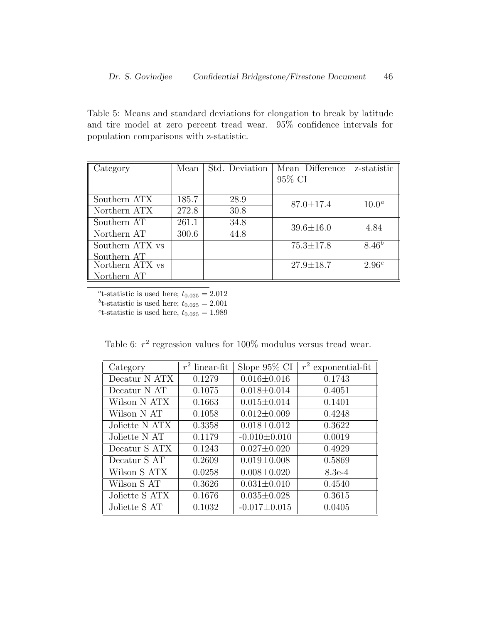Table 5: Means and standard deviations for elongation to break by latitude and tire model at zero percent tread wear. 95% confidence intervals for population comparisons with z-statistic.

| Category             | Mean  | Std. Deviation | Mean Difference | z-statistic       |
|----------------------|-------|----------------|-----------------|-------------------|
|                      |       |                | 95% CI          |                   |
|                      |       |                |                 |                   |
| Southern ATX         | 185.7 | 28.9           | $87.0 \pm 17.4$ | $10.0^a$          |
| Northern ATX         | 272.8 | 30.8           |                 |                   |
| Southern AT          | 261.1 | 34.8           | $39.6 \pm 16.0$ | 4.84              |
| Northern AT          | 300.6 | 44.8           |                 |                   |
| Southern ATX vs      |       |                | $75.3 \pm 17.8$ | $8.46^{b}$        |
| Southern AT          |       |                |                 |                   |
| Northern ATX vs      |       |                | $27.9 \pm 18.7$ | 2.96 <sup>c</sup> |
| ${\rm for therm~AT}$ |       |                |                 |                   |

<sup>a</sup>t-statistic is used here;  $t_{0.025} = 2.012$ <sup>b</sup>t-statistic is used here;  $t_{0.025} = 2.001$ <sup>c</sup>t-statistic is used here,  $t_{0.025} = 1.989$ 

Table 6:  $r^2$  regression values for 100% modulus versus tread wear.

| Category       | $r^2$ linear-fit | Slope 95% CI       | $\overline{r^2}$ exponential-fit |
|----------------|------------------|--------------------|----------------------------------|
| Decatur N ATX  | 0.1279           | $0.016 \pm 0.016$  | 0.1743                           |
| Decatur N AT   | 0.1075           | $0.018 \pm 0.014$  | 0.4051                           |
| Wilson N ATX   | 0.1663           | $0.015 \pm 0.014$  | 0.1401                           |
| Wilson N AT    | 0.1058           | $0.012 \pm 0.009$  | 0.4248                           |
| Joliette N ATX | 0.3358           | $0.018 \pm 0.012$  | 0.3622                           |
| Joliette N AT  | 0.1179           | $-0.010 \pm 0.010$ | 0.0019                           |
| Decatur S ATX  | 0.1243           | $0.027 \pm 0.020$  | 0.4929                           |
| Decatur S AT   | 0.2609           | $0.019 \pm 0.008$  | 0.5869                           |
| Wilson S ATX   | 0.0258           | $0.008 \pm 0.020$  | 8.3e-4                           |
| Wilson S $AT$  | 0.3626           | $0.031 \pm 0.010$  | 0.4540                           |
| Joliette S ATX | 0.1676           | $0.035 \pm 0.028$  | 0.3615                           |
| Joliette S AT  | 0.1032           | $-0.017 \pm 0.015$ | 0.0405                           |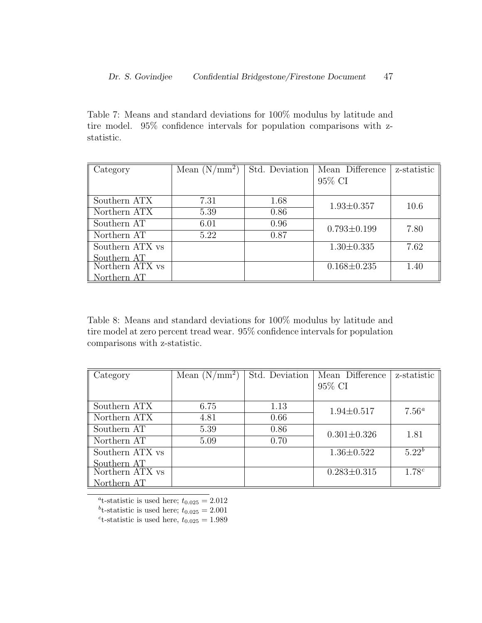Table 7: Means and standard deviations for 100% modulus by latitude and tire model. 95% confidence intervals for population comparisons with zstatistic.

| Category                     | Mean $(N/mm^2)$ | Std. Deviation | Mean Difference   | z-statistic |
|------------------------------|-----------------|----------------|-------------------|-------------|
|                              |                 |                | 95% CI            |             |
|                              |                 |                |                   |             |
| Southern ATX                 | 7.31            | 1.68           | $1.93 \pm 0.357$  | 10.6        |
| Northern ATX                 | 5.39            | 0.86           |                   |             |
| Southern AT                  | 6.01            | 0.96           | $0.793 \pm 0.199$ | 7.80        |
| $\parallel$ Northern AT      | 5.22            | 0.87           |                   |             |
| Southern ATX vs              |                 |                | $1.30 \pm 0.335$  | 7.62        |
| Southern AT                  |                 |                |                   |             |
| Northern $ATX$ <sub>VS</sub> |                 |                | $0.168 \pm 0.235$ | 1.40        |
| orthern AT                   |                 |                |                   |             |

Table 8: Means and standard deviations for 100% modulus by latitude and tire model at zero percent tread wear. 95% confidence intervals for population comparisons with z-statistic.

| Category                | Mean $(N/mm^2)$ | Std. Deviation | Mean Difference   | z-statistic    |
|-------------------------|-----------------|----------------|-------------------|----------------|
|                         |                 |                | 95% CI            |                |
|                         |                 |                |                   |                |
| Southern ATX            | 6.75            | 1.13           | $1.94 \pm 0.517$  | $7.56^{\circ}$ |
| Northern ATX            | 4.81            | 0.66           |                   |                |
| Southern AT             | 5.39            | 0.86           | $0.301 \pm 0.326$ | 1.81           |
| $\parallel$ Northern AT | 5.09            | 0.70           |                   |                |
| Southern ATX vs         |                 |                | $1.36 \pm 0.522$  | $5.22^{b}$     |
| Southern AT             |                 |                |                   |                |
| Northern ATX vs         |                 |                | $0.283 \pm 0.315$ | $1.78^{c}$     |
| orthern AT              |                 |                |                   |                |

<sup>a</sup>t-statistic is used here;  $t_{0.025} = 2.012$ <sup>b</sup>t-statistic is used here;  $t_{0.025} = 2.001$ <sup>c</sup>t-statistic is used here,  $t_{0.025} = 1.989$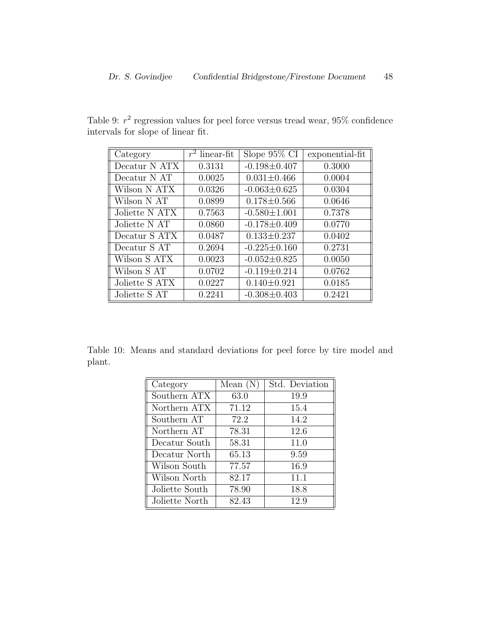| Category       | $\overline{r^2}$ linear-fit | Slope $95\%$ CI    | exponential-fit |
|----------------|-----------------------------|--------------------|-----------------|
| Decatur N ATX  | 0.3131                      | $-0.198 \pm 0.407$ | 0.3000          |
| Decatur N AT   | 0.0025                      | $0.031 \pm 0.466$  | 0.0004          |
| Wilson N ATX   | 0.0326                      | $-0.063 \pm 0.625$ | 0.0304          |
| Wilson N AT    | 0.0899                      | $0.178 \pm 0.566$  | 0.0646          |
| Joliette N ATX | 0.7563                      | $-0.580 \pm 1.001$ | 0.7378          |
| Joliette N AT  | 0.0860                      | $-0.178 \pm 0.409$ | 0.0770          |
| Decatur S ATX  | 0.0487                      | $0.133 \pm 0.237$  | 0.0402          |
| Decatur S AT   | 0.2694                      | $-0.225 \pm 0.160$ | 0.2731          |
| Wilson S ATX   | 0.0023                      | $-0.052 \pm 0.825$ | 0.0050          |
| Wilson S AT    | 0.0702                      | $-0.119 \pm 0.214$ | 0.0762          |
| Joliette S ATX | 0.0227                      | $0.140 \pm 0.921$  | 0.0185          |
| Joliette S AT  | 0.2241                      | $-0.308 \pm 0.403$ | 0.2421          |

Table 9:  $r^2$  regression values for peel force versus tread wear, 95% confidence intervals for slope of linear fit.

Table 10: Means and standard deviations for peel force by tire model and plant.

| Category       | Mean(N) | Std. Deviation |
|----------------|---------|----------------|
| Southern ATX   | 63.0    | 19.9           |
| Northern ATX   | 71.12   | 15.4           |
| Southern AT    | 72.2    | 14.2           |
| Northern AT    | 78.31   | 12.6           |
| Decatur South  | 58.31   | 11.0           |
| Decatur North  | 65.13   | 9.59           |
| Wilson South   | 77.57   | 16.9           |
| Wilson North   | 82.17   | 11.1           |
| Joliette South | 78.90   | 18.8           |
| Joliette North | 82.43   | 12.9           |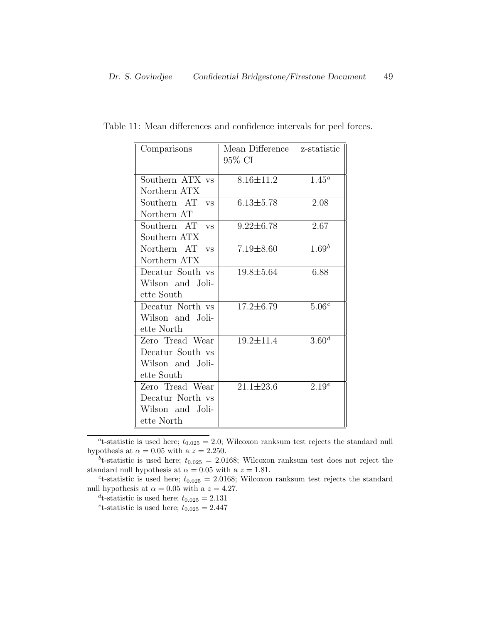| Comparisons      | Mean Difference | z-statistic           |
|------------------|-----------------|-----------------------|
|                  | 95% CI          |                       |
| Southern ATX vs  | $8.16 \pm 11.2$ | $1.45^{\overline{a}}$ |
| Northern ATX     |                 |                       |
| Southern AT vs   | $6.13 \pm 5.78$ | 2.08                  |
| Northern AT      |                 |                       |
| Southern AT vs   | $9.22 \pm 6.78$ | 2.67                  |
| Southern ATX     |                 |                       |
| Northern AT vs   | $7.19 \pm 8.60$ | 1.69 <sup>b</sup>     |
| Northern ATX     |                 |                       |
| Decatur South vs | $19.8 \pm 5.64$ | 6.88                  |
| Wilson and Joli- |                 |                       |
| ette South       |                 |                       |
| Decatur North vs | $17.2 \pm 6.79$ | 5.06 <sup>c</sup>     |
| Wilson and Joli- |                 |                       |
| ette North       |                 |                       |
| Zero Tread Wear  | $19.2 \pm 11.4$ | $3.\overline{60^d}$   |
| Decatur South vs |                 |                       |
| Wilson and Joli- |                 |                       |
| ette South       |                 |                       |
| Zero Tread Wear  | $21.1 \pm 23.6$ | 2.19 <sup>e</sup>     |
| Decatur North vs |                 |                       |
| Wilson and Joli- |                 |                       |
| ette North       |                 |                       |

Table 11: Mean differences and confidence intervals for peel forces.

<sup>a</sup>t-statistic is used here;  $t_{0.025} = 2.0$ ; Wilcoxon ranksum test rejects the standard null hypothesis at  $\alpha = 0.05$  with a  $z = 2.250$ .

<sup>b</sup>t-statistic is used here;  $t_{0.025} = 2.0168$ ; Wilcoxon ranksum test does not reject the standard null hypothesis at  $\alpha = 0.05$  with a  $z = 1.81$ .

<sup>c</sup>t-statistic is used here;  $t_{0.025} = 2.0168$ ; Wilcoxon ranksum test rejects the standard null hypothesis at  $\alpha = 0.05$  with a  $z = 4.27$ .

<sup>d</sup>t-statistic is used here;  $t_{0.025} = 2.131$ 

<sup>e</sup>t-statistic is used here;  $t_{0.025} = 2.447$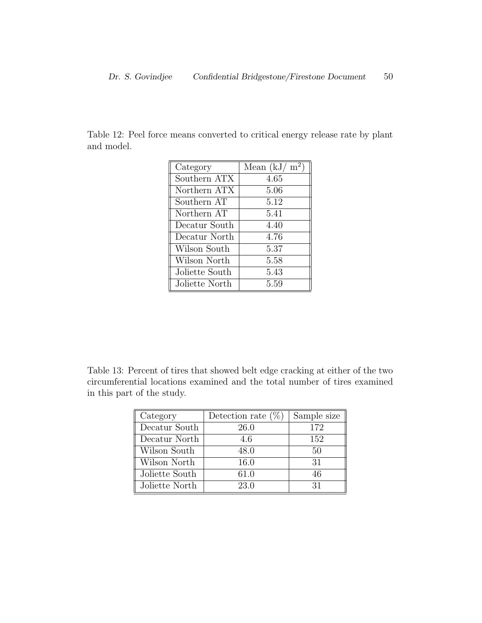Table 12: Peel force means converted to critical energy release rate by plant and model.

| Category       | Mean $(kJ/m^2)$ |  |
|----------------|-----------------|--|
| Southern ATX   | 4.65            |  |
| Northern ATX   | 5.06            |  |
| Southern AT    | 5.12            |  |
| Northern AT    | 5.41            |  |
| Decatur South  | 4.40            |  |
| Decatur North  | 4.76            |  |
| Wilson South   | 5.37            |  |
| Wilson North   | 5.58            |  |
| Joliette South | 5.43            |  |
| Joliette North | 5.59            |  |

Table 13: Percent of tires that showed belt edge cracking at either of the two circumferential locations examined and the total number of tires examined in this part of the study.

| Category       | Detection rate $(\%)$ | Sample size |
|----------------|-----------------------|-------------|
| Decatur South  | 26.0                  | 172         |
| Decatur North  | 4.6                   | 152         |
| Wilson South   | 48.0                  | 50          |
| Wilson North   | 16.0                  | 31          |
| Joliette South | 61.0                  | 46          |
| Joliette North | 23.0                  | 31          |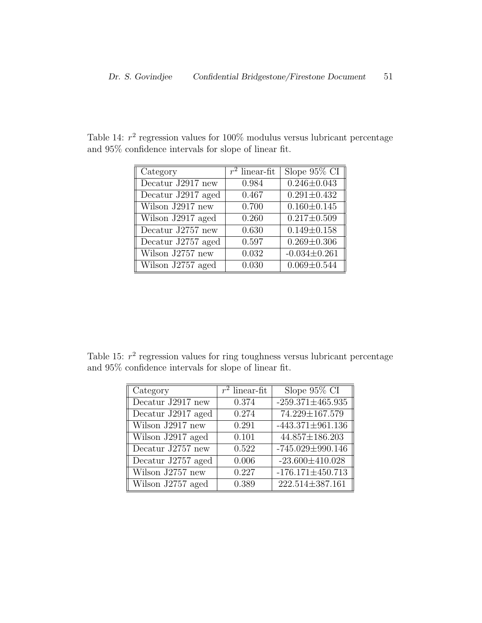| Category           | $r^2$ linear-fit | Slope $95\%$ CI    |
|--------------------|------------------|--------------------|
| Decatur J2917 new  | 0.984            | $0.246 \pm 0.043$  |
| Decatur J2917 aged | 0.467            | $0.291 \pm 0.432$  |
| Wilson J2917 new   | 0.700            | $0.160 \pm 0.145$  |
| Wilson J2917 aged  | 0.260            | $0.217 \pm 0.509$  |
| Decatur J2757 new  | 0.630            | $0.149 \pm 0.158$  |
| Decatur J2757 aged | 0.597            | $0.269 \pm 0.306$  |
| Wilson $J2757$ new | 0.032            | $-0.034 \pm 0.261$ |
| Wilson J2757 aged  | 0.030            | $0.069 \pm 0.544$  |

Table 14:  $r^2$  regression values for 100% modulus versus lubricant percentage and 95% confidence intervals for slope of linear fit.

Table 15:  $r^2$  regression values for ring toughness versus lubricant percentage and 95% confidence intervals for slope of linear fit.

| Category           | $\overline{r^2 \text{ linear-fit}}$ | Slope 95% CI           |
|--------------------|-------------------------------------|------------------------|
| Decatur J2917 new  | 0.374                               | $-259.371 \pm 465.935$ |
| Decatur J2917 aged | 0.274                               | $74.229 \pm 167.579$   |
| Wilson J2917 new   | 0.291                               | $-443.371 \pm 961.136$ |
| Wilson J2917 aged  | 0.101                               | 44.857±186.203         |
| Decatur J2757 new  | 0.522                               | $-745.029 \pm 990.146$ |
| Decatur J2757 aged | 0.006                               | $-23.600 \pm 410.028$  |
| Wilson J2757 new   | 0.227                               | $-176.171\pm 450.713$  |
| Wilson J2757 aged  | 0.389                               | 222.514±387.161        |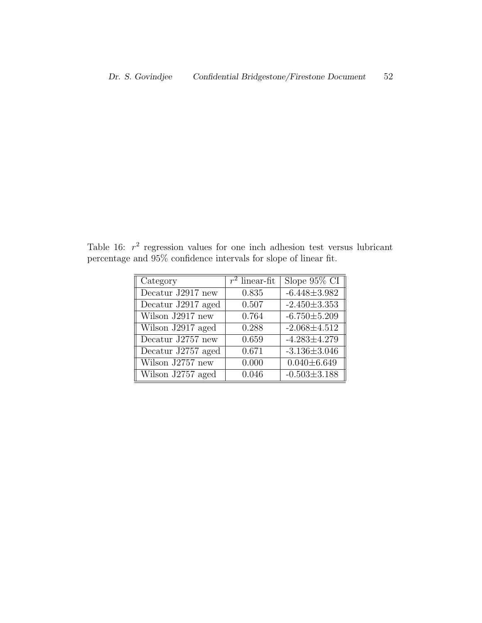Table 16:  $r^2$  regression values for one inch adhesion test versus lubricant percentage and 95% confidence intervals for slope of linear fit.

| Category                      | $r^2$ linear-fit | Slope $95\%$ CI    |
|-------------------------------|------------------|--------------------|
| Decatur J2917 new             | 0.835            | $-6.448 \pm 3.982$ |
| Decatur J2917 aged            | 0.507            | $-2.450 \pm 3.353$ |
| Wilson $J\overline{2917}$ new | 0.764            | $-6.750 \pm 5.209$ |
| Wilson J2917 aged             | 0.288            | $-2.068 \pm 4.512$ |
| Decatur J2757 new             | 0.659            | $-4.283 \pm 4.279$ |
| Decatur J2757 aged            | 0.671            | $-3.136 \pm 3.046$ |
| Wilson J2757 new              | 0.000            | $0.040 \pm 6.649$  |
| Wilson J2757 aged             | 0.046            | $-0.503 \pm 3.188$ |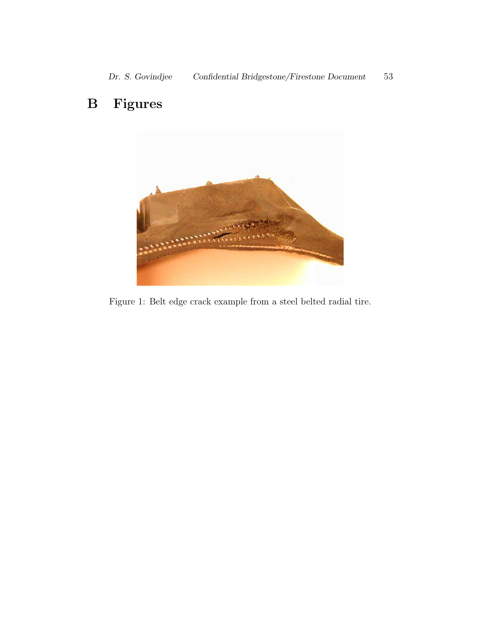## B Figures



Figure 1: Belt edge crack example from a steel belted radial tire.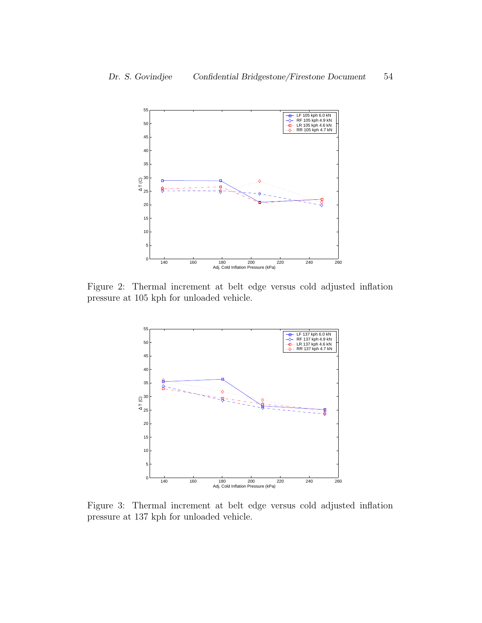

Figure 2: Thermal increment at belt edge versus cold adjusted inflation pressure at 105 kph for unloaded vehicle.



Figure 3: Thermal increment at belt edge versus cold adjusted inflation pressure at 137 kph for unloaded vehicle.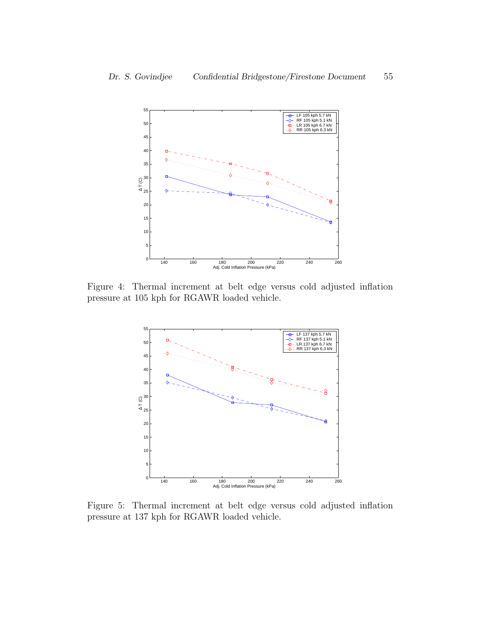

Figure 4: Thermal increment at belt edge versus cold adjusted inflation pressure at 105 kph for RGAWR loaded vehicle.



Figure 5: Thermal increment at belt edge versus cold adjusted inflation pressure at 137 kph for RGAWR loaded vehicle.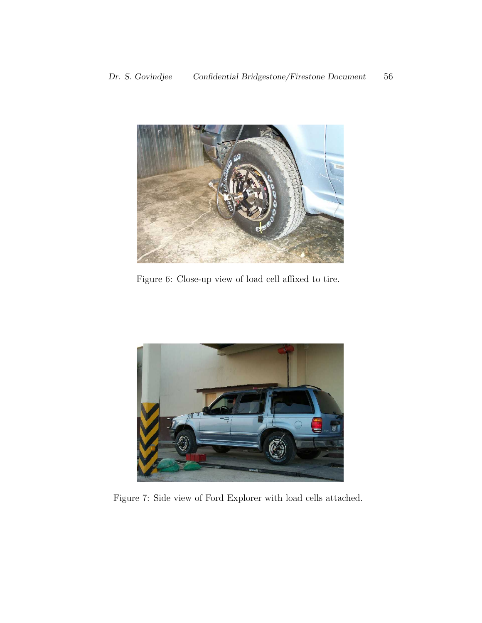

Figure 6: Close-up view of load cell affixed to tire.



Figure 7: Side view of Ford Explorer with load cells attached.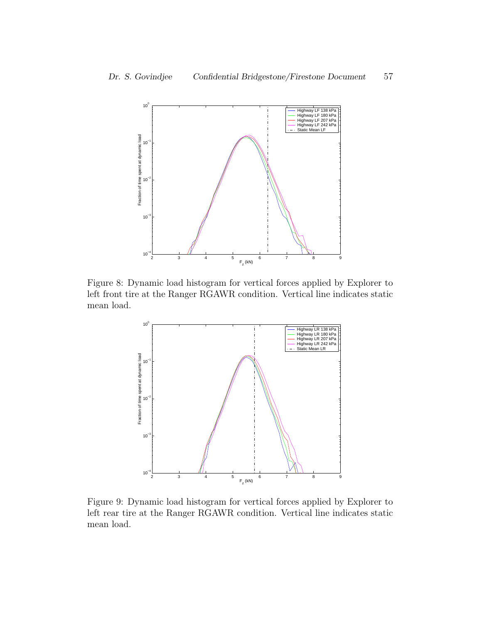

Figure 8: Dynamic load histogram for vertical forces applied by Explorer to left front tire at the Ranger RGAWR condition. Vertical line indicates static mean load.



Figure 9: Dynamic load histogram for vertical forces applied by Explorer to left rear tire at the Ranger RGAWR condition. Vertical line indicates static mean load.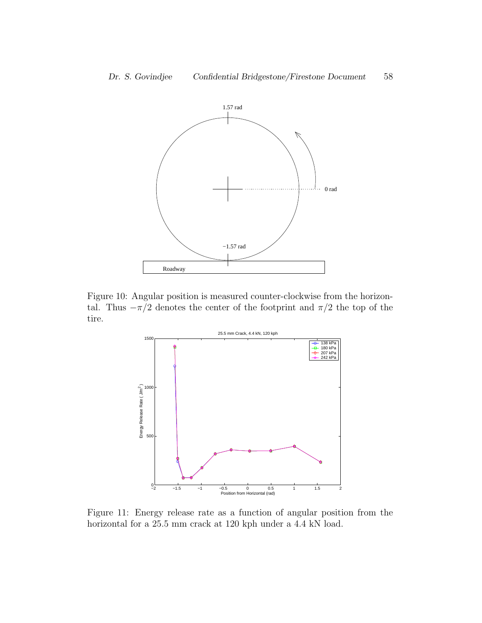

Figure 10: Angular position is measured counter-clockwise from the horizontal. Thus  $-\pi/2$  denotes the center of the footprint and  $\pi/2$  the top of the tire.



Figure 11: Energy release rate as a function of angular position from the horizontal for a 25.5 mm crack at 120 kph under a 4.4 kN load.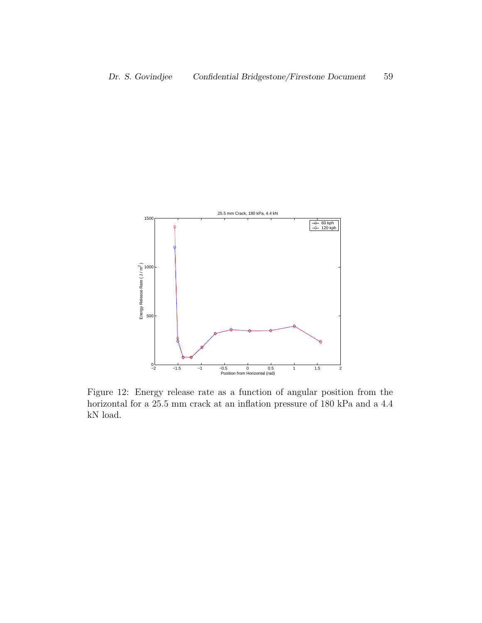

Figure 12: Energy release rate as a function of angular position from the horizontal for a 25.5 mm crack at an inflation pressure of 180 kPa and a 4.4 kN load.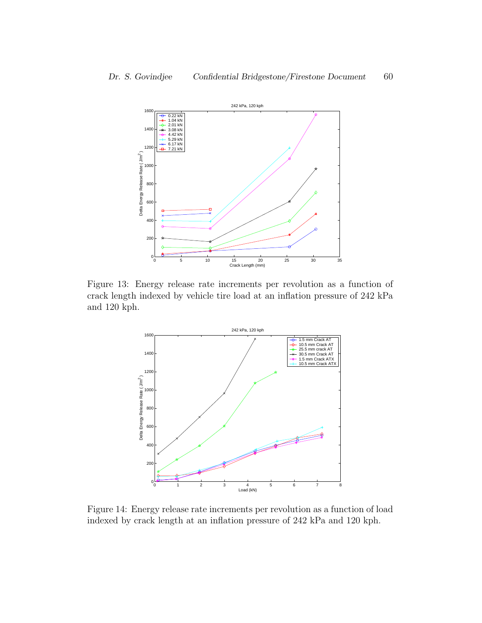

Figure 13: Energy release rate increments per revolution as a function of crack length indexed by vehicle tire load at an inflation pressure of 242 kPa and 120 kph.



Figure 14: Energy release rate increments per revolution as a function of load indexed by crack length at an inflation pressure of 242 kPa and 120 kph.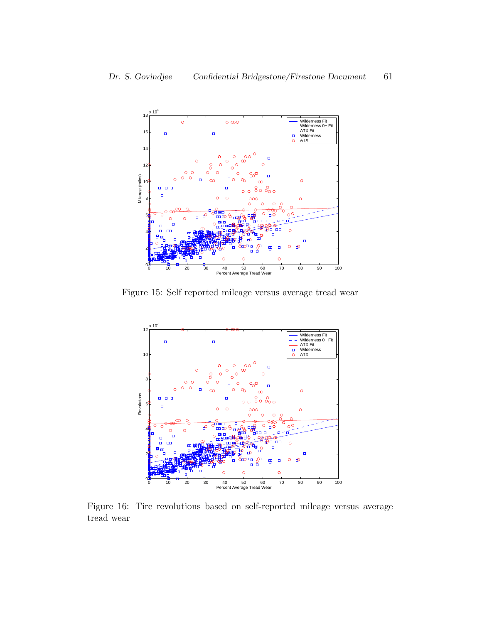

Figure 15: Self reported mileage versus average tread wear



Figure 16: Tire revolutions based on self-reported mileage versus average tread wear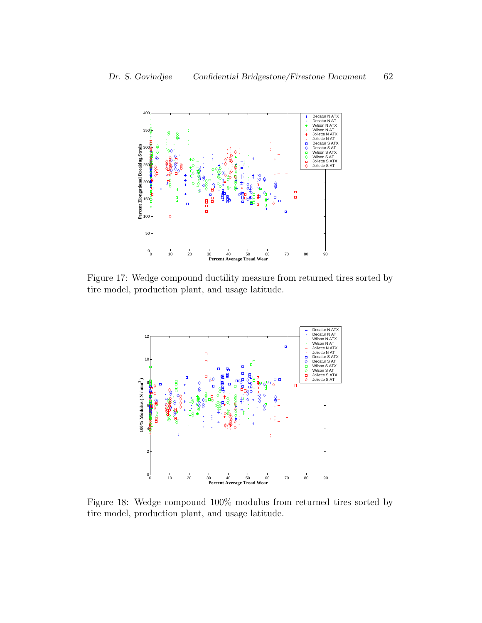

Figure 17: Wedge compound ductility measure from returned tires sorted by tire model, production plant, and usage latitude.



Figure 18: Wedge compound 100% modulus from returned tires sorted by tire model, production plant, and usage latitude.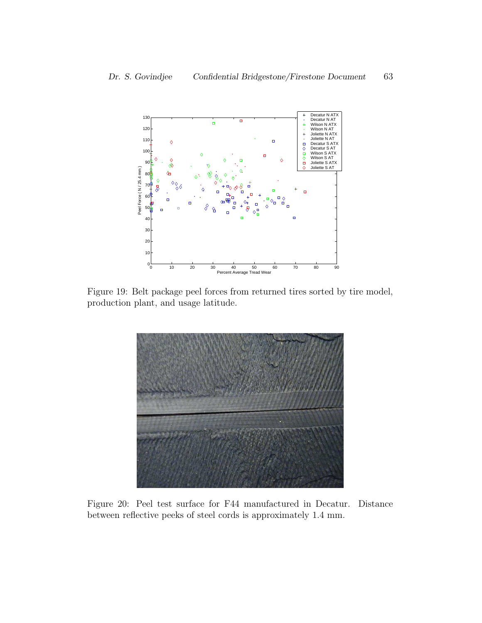

Figure 19: Belt package peel forces from returned tires sorted by tire model, production plant, and usage latitude.



Figure 20: Peel test surface for F44 manufactured in Decatur. Distance between reflective peeks of steel cords is approximately 1.4 mm.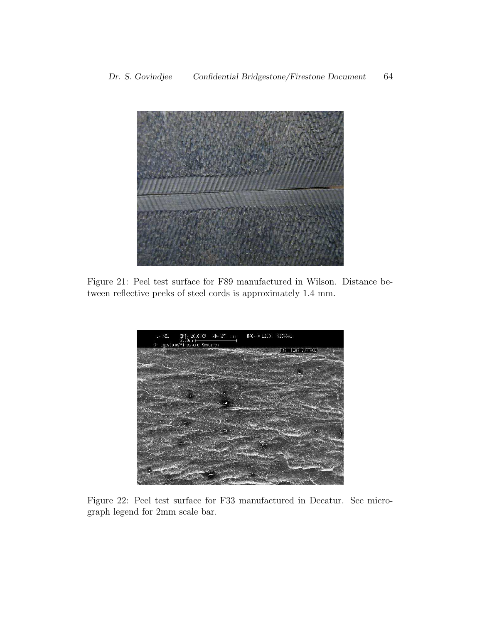

Figure 21: Peel test surface for F89 manufactured in Wilson. Distance between reflective peeks of steel cords is approximately 1.4 mm.



Figure 22: Peel test surface for F33 manufactured in Decatur. See micrograph legend for 2mm scale bar.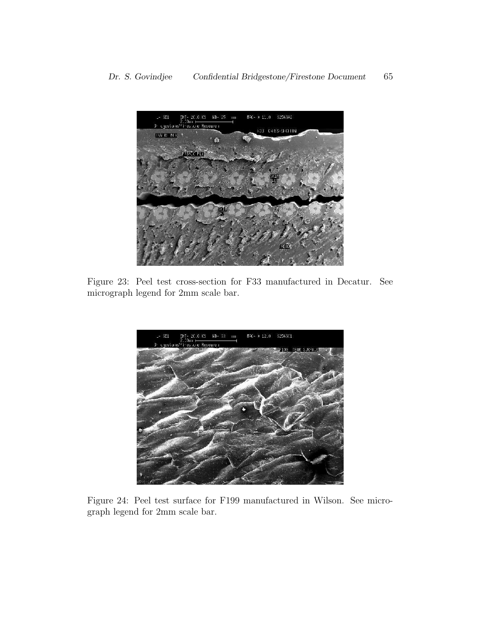

Figure 23: Peel test cross-section for F33 manufactured in Decatur. See micrograph legend for 2mm scale bar.



Figure 24: Peel test surface for F199 manufactured in Wilson. See micrograph legend for 2mm scale bar.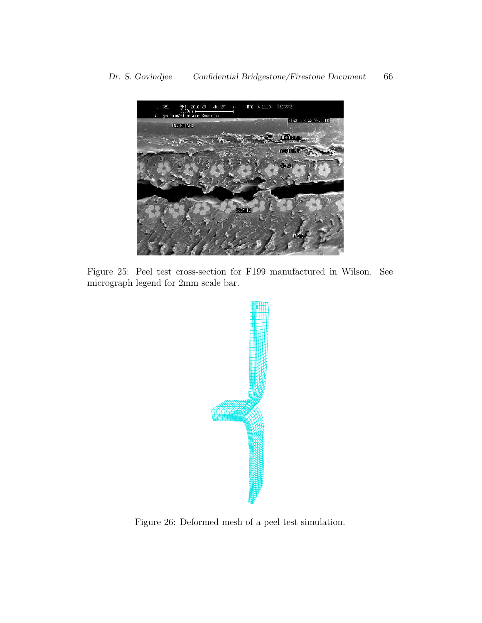

Figure 25: Peel test cross-section for F199 manufactured in Wilson. See micrograph legend for 2mm scale bar.



Figure 26: Deformed mesh of a peel test simulation.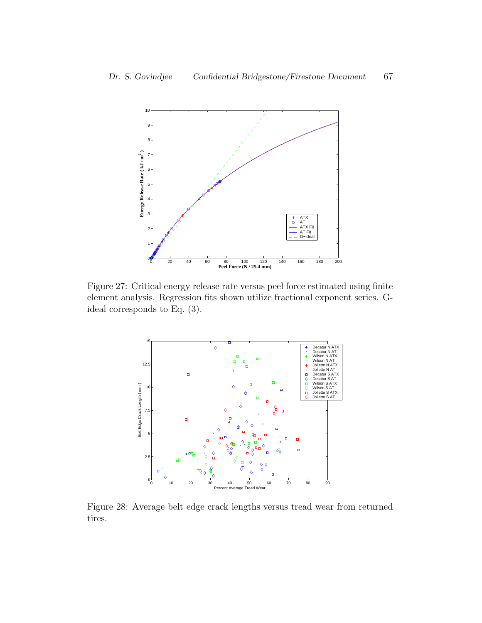

Figure 27: Critical energy release rate versus peel force estimated using finite element analysis. Regression fits shown utilize fractional exponent series. Gideal corresponds to Eq. (3).



Figure 28: Average belt edge crack lengths versus tread wear from returned tires.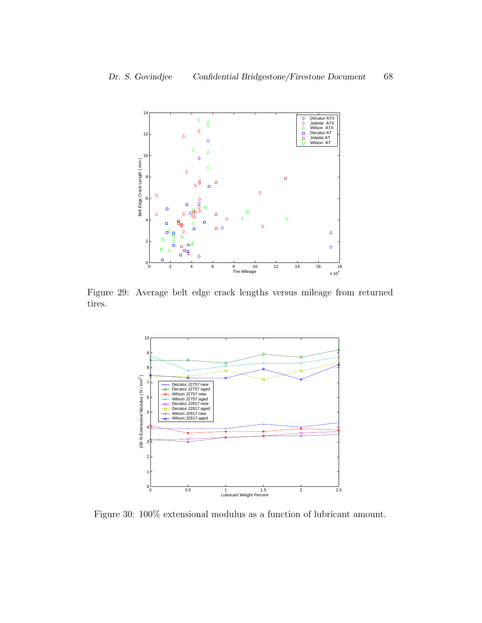

Figure 29: Average belt edge crack lengths versus mileage from returned tires.



Figure 30: 100% extensional modulus as a function of lubricant amount.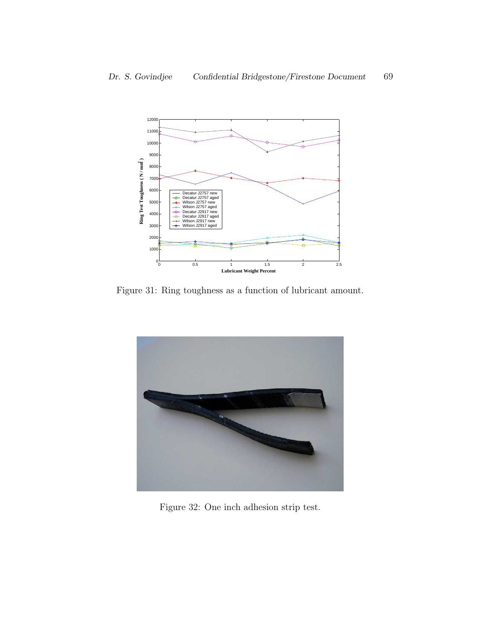

Figure 31: Ring toughness as a function of lubricant amount.



Figure 32: One inch adhesion strip test.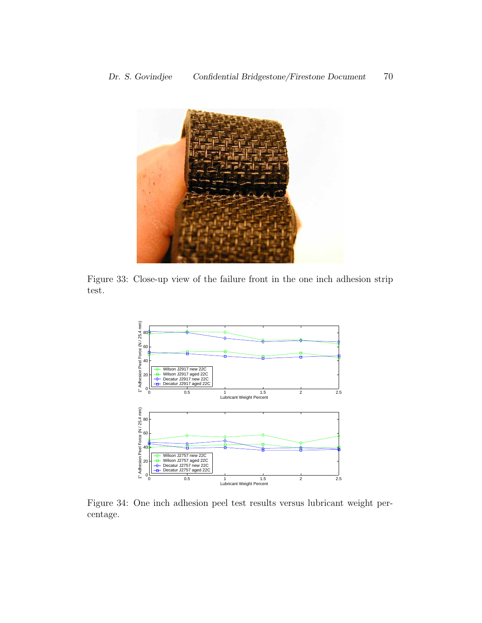

Figure 33: Close-up view of the failure front in the one inch adhesion strip test.



Figure 34: One inch adhesion peel test results versus lubricant weight percentage.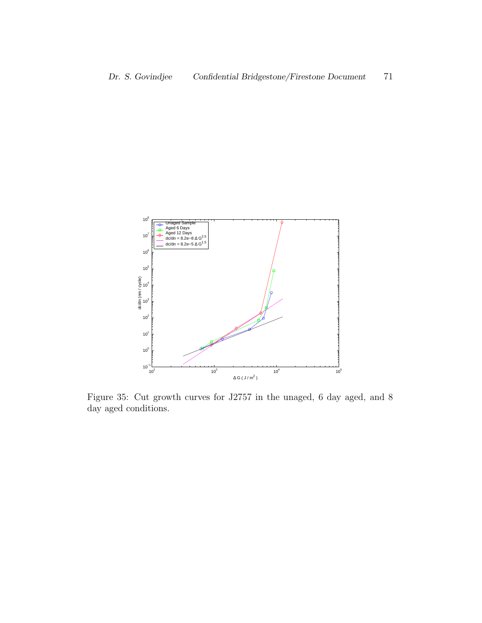

Figure 35: Cut growth curves for J2757 in the unaged, 6 day aged, and 8 day aged conditions.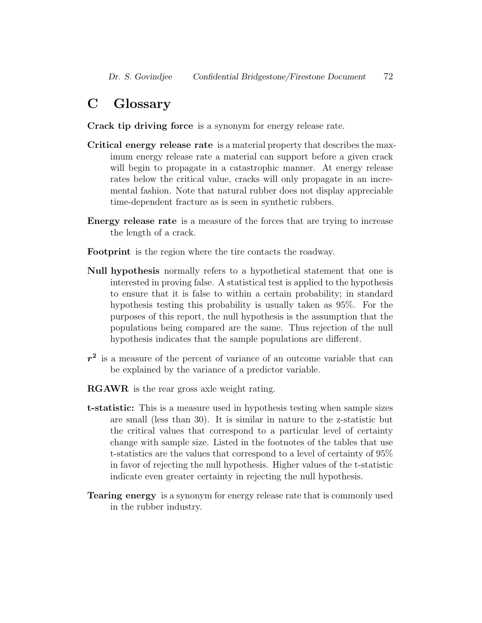## C Glossary

Crack tip driving force is a synonym for energy release rate.

- Critical energy release rate is a material property that describes the maximum energy release rate a material can support before a given crack will begin to propagate in a catastrophic manner. At energy release rates below the critical value, cracks will only propagate in an incremental fashion. Note that natural rubber does not display appreciable time-dependent fracture as is seen in synthetic rubbers.
- Energy release rate is a measure of the forces that are trying to increase the length of a crack.
- Footprint is the region where the tire contacts the roadway.
- Null hypothesis normally refers to a hypothetical statement that one is interested in proving false. A statistical test is applied to the hypothesis to ensure that it is false to within a certain probability; in standard hypothesis testing this probability is usually taken as 95%. For the purposes of this report, the null hypothesis is the assumption that the populations being compared are the same. Thus rejection of the null hypothesis indicates that the sample populations are different.
- $r<sup>2</sup>$  is a measure of the percent of variance of an outcome variable that can be explained by the variance of a predictor variable.
- RGAWR is the rear gross axle weight rating.
- t-statistic: This is a measure used in hypothesis testing when sample sizes are small (less than 30). It is similar in nature to the z-statistic but the critical values that correspond to a particular level of certainty change with sample size. Listed in the footnotes of the tables that use t-statistics are the values that correspond to a level of certainty of 95% in favor of rejecting the null hypothesis. Higher values of the t-statistic indicate even greater certainty in rejecting the null hypothesis.
- Tearing energy is a synonym for energy release rate that is commonly used in the rubber industry.